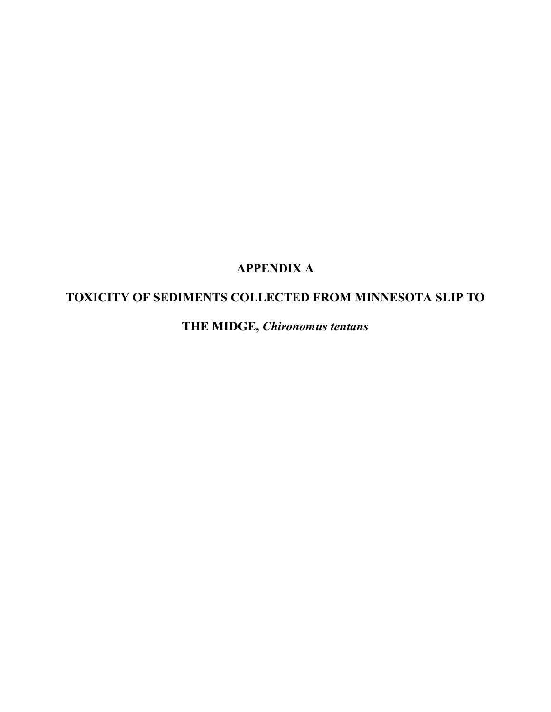## **APPENDIX A**

## **TOXICITY OF SEDIMENTS COLLECTED FROM MINNESOTA SLIP TO**

**THE MIDGE,** *Chironomus tentans*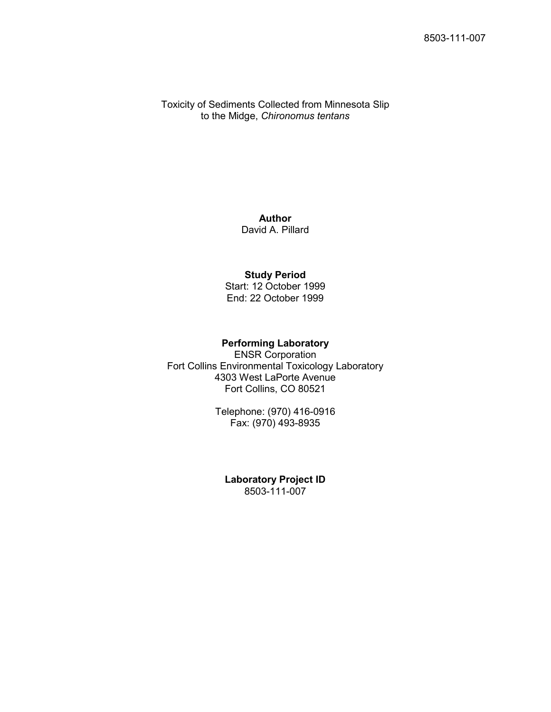Toxicity of Sediments Collected from Minnesota Slip to the Midge, *Chironomus tentans*

> **Author** David A. Pillard

### **Study Period**

Start: 12 October 1999 End: 22 October 1999

#### **Performing Laboratory**

ENSR Corporation Fort Collins Environmental Toxicology Laboratory 4303 West LaPorte Avenue Fort Collins, CO 80521

> Telephone: (970) 416-0916 Fax: (970) 493-8935

**Laboratory Project ID** 8503-111-007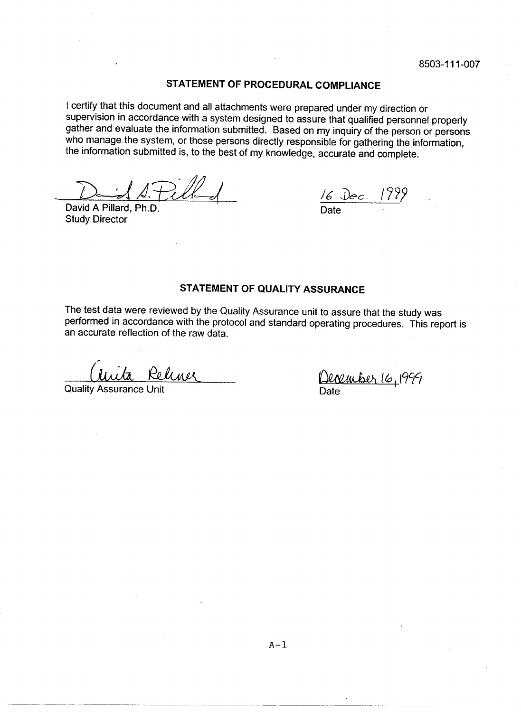#### STATEMENT OF PROCEDURAL COMPLIANCE

I certify that this document and all attachments were prepared under my direction or supervision in accordance with a system designed to assure that qualified personnel properly gather and evaluate the information submitted. Based on my inquiry of the person or persons who manage the system, or those persons directly responsible for gathering the information, the information submitted is, to the best of my knowledge, accurate and complete.

David A Pillard, Ph.D. **Study Director** 

 $\frac{16 \text{ Dec}}{Date}$  1999

#### STATEMENT OF QUALITY ASSURANCE

The test data were reviewed by the Quality Assurance unit to assure that the study was performed in accordance with the protocol and standard operating procedures. This report is an accurate reflection of the raw data.

Relenge

**Quality Assurance Unit** 

<u>December 16, 1999</u>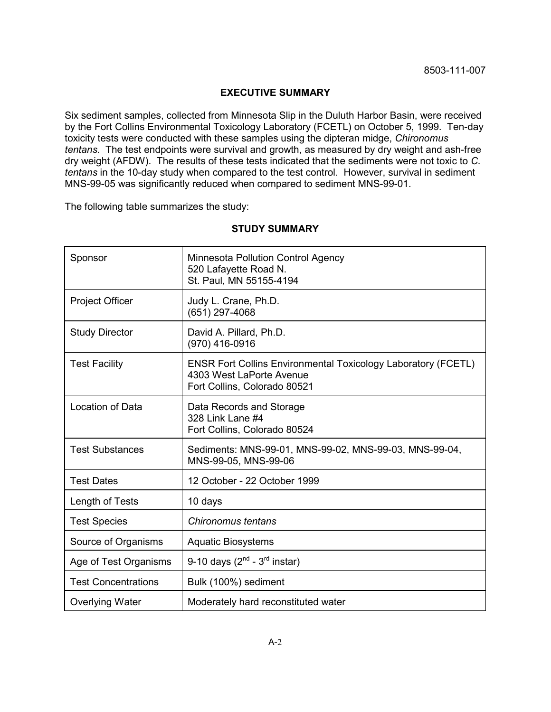#### **EXECUTIVE SUMMARY**

Six sediment samples, collected from Minnesota Slip in the Duluth Harbor Basin, were received by the Fort Collins Environmental Toxicology Laboratory (FCETL) on October 5, 1999. Ten-day toxicity tests were conducted with these samples using the dipteran midge, *Chironomus tentans*. The test endpoints were survival and growth, as measured by dry weight and ash-free dry weight (AFDW). The results of these tests indicated that the sediments were not toxic to *C. tentans* in the 10-day study when compared to the test control. However, survival in sediment MNS-99-05 was significantly reduced when compared to sediment MNS-99-01.

The following table summarizes the study:

| Sponsor                    | <b>Minnesota Pollution Control Agency</b><br>520 Lafayette Road N.<br>St. Paul, MN 55155-4194                                    |
|----------------------------|----------------------------------------------------------------------------------------------------------------------------------|
| <b>Project Officer</b>     | Judy L. Crane, Ph.D.<br>(651) 297-4068                                                                                           |
| <b>Study Director</b>      | David A. Pillard, Ph.D.<br>(970) 416-0916                                                                                        |
| <b>Test Facility</b>       | <b>ENSR Fort Collins Environmental Toxicology Laboratory (FCETL)</b><br>4303 West LaPorte Avenue<br>Fort Collins, Colorado 80521 |
| <b>Location of Data</b>    | Data Records and Storage<br>328 Link Lane #4<br>Fort Collins, Colorado 80524                                                     |
| <b>Test Substances</b>     | Sediments: MNS-99-01, MNS-99-02, MNS-99-03, MNS-99-04,<br>MNS-99-05, MNS-99-06                                                   |
| <b>Test Dates</b>          | 12 October - 22 October 1999                                                                                                     |
| Length of Tests            | 10 days                                                                                                                          |
| <b>Test Species</b>        | Chironomus tentans                                                                                                               |
| Source of Organisms        | <b>Aquatic Biosystems</b>                                                                                                        |
| Age of Test Organisms      | 9-10 days $(2^{nd} - 3^{rd} \text{ instar})$                                                                                     |
| <b>Test Concentrations</b> | Bulk (100%) sediment                                                                                                             |
| <b>Overlying Water</b>     | Moderately hard reconstituted water                                                                                              |

#### **STUDY SUMMARY**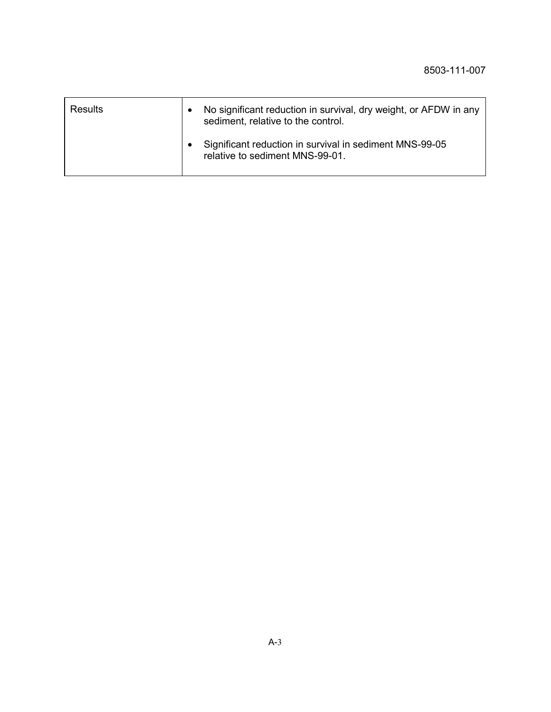| <b>Results</b> | No significant reduction in survival, dry weight, or AFDW in any<br>sediment, relative to the control. |
|----------------|--------------------------------------------------------------------------------------------------------|
|                | Significant reduction in survival in sediment MNS-99-05<br>relative to sediment MNS-99-01.             |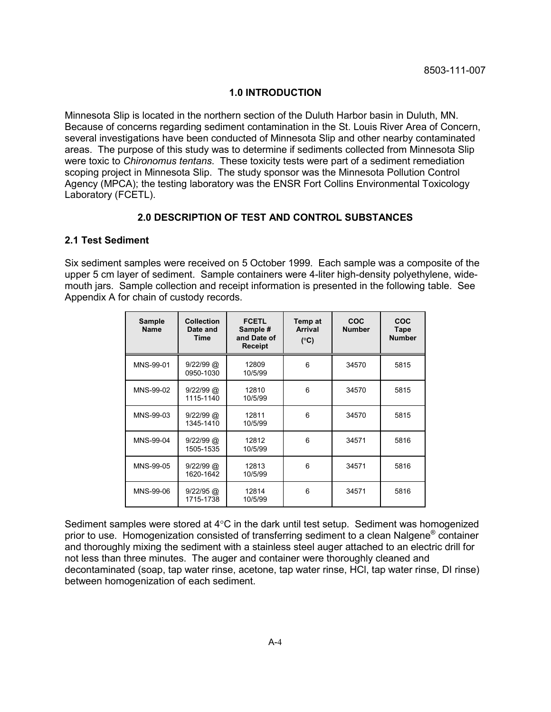#### **1.0 INTRODUCTION**

Minnesota Slip is located in the northern section of the Duluth Harbor basin in Duluth, MN. Because of concerns regarding sediment contamination in the St. Louis River Area of Concern, several investigations have been conducted of Minnesota Slip and other nearby contaminated areas. The purpose of this study was to determine if sediments collected from Minnesota Slip were toxic to *Chironomus tentans*. These toxicity tests were part of a sediment remediation scoping project in Minnesota Slip. The study sponsor was the Minnesota Pollution Control Agency (MPCA); the testing laboratory was the ENSR Fort Collins Environmental Toxicology Laboratory (FCETL).

#### **2.0 DESCRIPTION OF TEST AND CONTROL SUBSTANCES**

#### **2.1 Test Sediment**

Six sediment samples were received on 5 October 1999. Each sample was a composite of the upper 5 cm layer of sediment. Sample containers were 4-liter high-density polyethylene, widemouth jars. Sample collection and receipt information is presented in the following table. See Appendix A for chain of custody records.

| <b>Sample</b><br><b>Name</b> | <b>Collection</b><br>Date and<br>Time | <b>FCETL</b><br>Sample #<br>and Date of<br><b>Receipt</b> | Temp at<br><b>Arrival</b><br>$(^{\circ}C)$ | <b>COC</b><br><b>Number</b> | COC<br>Tape<br><b>Number</b> |
|------------------------------|---------------------------------------|-----------------------------------------------------------|--------------------------------------------|-----------------------------|------------------------------|
| MNS-99-01                    | $9/22/99$ @<br>0950-1030              | 12809<br>10/5/99                                          | 6                                          | 34570                       | 5815                         |
| MNS-99-02                    | $9/22/99$ @<br>1115-1140              | 12810<br>10/5/99                                          | 6                                          | 34570                       | 5815                         |
| MNS-99-03                    | $9/22/99$ @<br>1345-1410              | 12811<br>10/5/99                                          | 6                                          | 34570                       | 5815                         |
| MNS-99-04                    | $9/22/99$ @<br>1505-1535              | 12812<br>10/5/99                                          | 6                                          | 34571                       | 5816                         |
| MNS-99-05                    | $9/22/99$ @<br>1620-1642              | 12813<br>10/5/99                                          | 6                                          | 34571                       | 5816                         |
| MNS-99-06                    | $9/22/95$ @<br>1715-1738              | 12814<br>10/5/99                                          | 6                                          | 34571                       | 5816                         |

Sediment samples were stored at 4°C in the dark until test setup. Sediment was homogenized prior to use. Homogenization consisted of transferring sediment to a clean Nalgene® container and thoroughly mixing the sediment with a stainless steel auger attached to an electric drill for not less than three minutes. The auger and container were thoroughly cleaned and decontaminated (soap, tap water rinse, acetone, tap water rinse, HCl, tap water rinse, DI rinse) between homogenization of each sediment.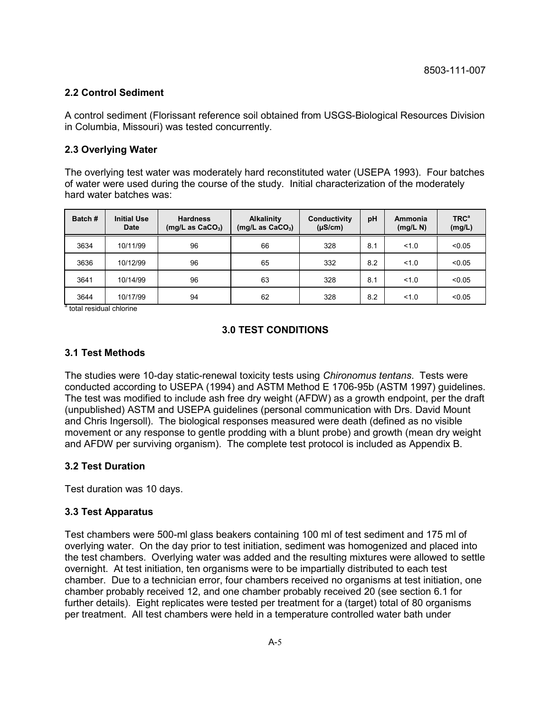#### **2.2 Control Sediment**

A control sediment (Florissant reference soil obtained from USGS-Biological Resources Division in Columbia, Missouri) was tested concurrently.

#### **2.3 Overlying Water**

The overlying test water was moderately hard reconstituted water (USEPA 1993). Four batches of water were used during the course of the study. Initial characterization of the moderately hard water batches was:

| Batch# | <b>Initial Use</b><br><b>Date</b> | <b>Hardness</b><br>(mg/L as CaCO <sub>3</sub> ) | <b>Alkalinity</b><br>(mg/L as $CaCO3$ ) | Conductivity<br>$(\mu S/cm)$ | pH  | Ammonia<br>(mg/L N) | <b>TRC<sup>a</sup></b><br>(mg/L) |
|--------|-----------------------------------|-------------------------------------------------|-----------------------------------------|------------------------------|-----|---------------------|----------------------------------|
| 3634   | 10/11/99                          | 96                                              | 66                                      | 328                          | 8.1 | 1.0                 | < 0.05                           |
| 3636   | 10/12/99                          | 96                                              | 65                                      | 332                          | 8.2 | 1.0                 | < 0.05                           |
| 3641   | 10/14/99                          | 96                                              | 63                                      | 328                          | 8.1 | 1.0                 | < 0.05                           |
| 3644   | 10/17/99                          | 94                                              | 62                                      | 328                          | 8.2 | 1.0                 | < 0.05                           |

<sup>a</sup> total residual chlorine

#### **3.0 TEST CONDITIONS**

#### **3.1 Test Methods**

The studies were 10-day static-renewal toxicity tests using *Chironomus tentans*. Tests were conducted according to USEPA (1994) and ASTM Method E 1706-95b (ASTM 1997) guidelines. The test was modified to include ash free dry weight (AFDW) as a growth endpoint, per the draft (unpublished) ASTM and USEPA guidelines (personal communication with Drs. David Mount and Chris Ingersoll). The biological responses measured were death (defined as no visible movement or any response to gentle prodding with a blunt probe) and growth (mean dry weight and AFDW per surviving organism). The complete test protocol is included as Appendix B.

#### **3.2 Test Duration**

Test duration was 10 days.

#### **3.3 Test Apparatus**

Test chambers were 500-ml glass beakers containing 100 ml of test sediment and 175 ml of overlying water. On the day prior to test initiation, sediment was homogenized and placed into the test chambers. Overlying water was added and the resulting mixtures were allowed to settle overnight. At test initiation, ten organisms were to be impartially distributed to each test chamber. Due to a technician error, four chambers received no organisms at test initiation, one chamber probably received 12, and one chamber probably received 20 (see section 6.1 for further details). Eight replicates were tested per treatment for a (target) total of 80 organisms per treatment. All test chambers were held in a temperature controlled water bath under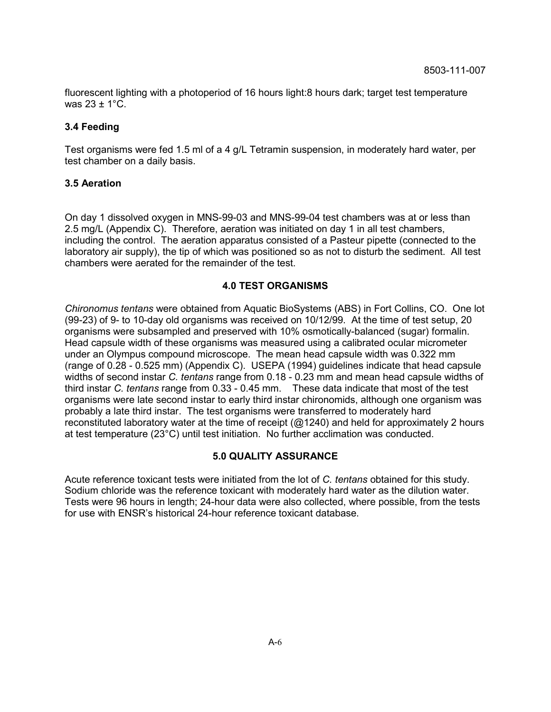fluorescent lighting with a photoperiod of 16 hours light:8 hours dark; target test temperature was  $23 \pm 1^{\circ}C$ .

#### **3.4 Feeding**

Test organisms were fed 1.5 ml of a 4 g/L Tetramin suspension, in moderately hard water, per test chamber on a daily basis.

#### **3.5 Aeration**

On day 1 dissolved oxygen in MNS-99-03 and MNS-99-04 test chambers was at or less than 2.5 mg/L (Appendix C). Therefore, aeration was initiated on day 1 in all test chambers, including the control. The aeration apparatus consisted of a Pasteur pipette (connected to the laboratory air supply), the tip of which was positioned so as not to disturb the sediment. All test chambers were aerated for the remainder of the test.

#### **4.0 TEST ORGANISMS**

*Chironomus tentans* were obtained from Aquatic BioSystems (ABS) in Fort Collins, CO. One lot (99-23) of 9- to 10-day old organisms was received on 10/12/99. At the time of test setup, 20 organisms were subsampled and preserved with 10% osmotically-balanced (sugar) formalin. Head capsule width of these organisms was measured using a calibrated ocular micrometer under an Olympus compound microscope. The mean head capsule width was 0.322 mm (range of 0.28 - 0.525 mm) (Appendix C). USEPA (1994) guidelines indicate that head capsule widths of second instar *C. tentans* range from 0.18 - 0.23 mm and mean head capsule widths of third instar *C. tentans* range from 0.33 - 0.45 mm. These data indicate that most of the test organisms were late second instar to early third instar chironomids, although one organism was probably a late third instar. The test organisms were transferred to moderately hard reconstituted laboratory water at the time of receipt (@1240) and held for approximately 2 hours at test temperature (23°C) until test initiation. No further acclimation was conducted.

#### **5.0 QUALITY ASSURANCE**

Acute reference toxicant tests were initiated from the lot of *C. tentans* obtained for this study. Sodium chloride was the reference toxicant with moderately hard water as the dilution water. Tests were 96 hours in length; 24-hour data were also collected, where possible, from the tests for use with ENSR's historical 24-hour reference toxicant database.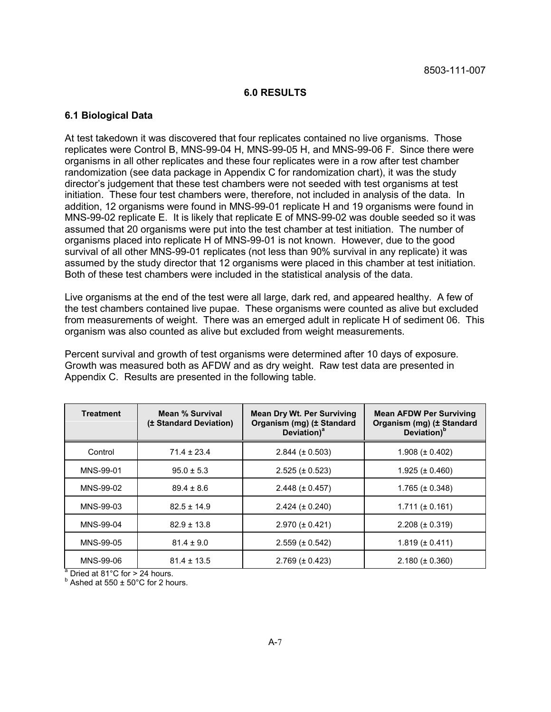#### **6.0 RESULTS**

#### **6.1 Biological Data**

At test takedown it was discovered that four replicates contained no live organisms. Those replicates were Control B, MNS-99-04 H, MNS-99-05 H, and MNS-99-06 F. Since there were organisms in all other replicates and these four replicates were in a row after test chamber randomization (see data package in Appendix C for randomization chart), it was the study director's judgement that these test chambers were not seeded with test organisms at test initiation. These four test chambers were, therefore, not included in analysis of the data. In addition, 12 organisms were found in MNS-99-01 replicate H and 19 organisms were found in MNS-99-02 replicate E. It is likely that replicate E of MNS-99-02 was double seeded so it was assumed that 20 organisms were put into the test chamber at test initiation. The number of organisms placed into replicate H of MNS-99-01 is not known. However, due to the good survival of all other MNS-99-01 replicates (not less than 90% survival in any replicate) it was assumed by the study director that 12 organisms were placed in this chamber at test initiation. Both of these test chambers were included in the statistical analysis of the data.

Live organisms at the end of the test were all large, dark red, and appeared healthy. A few of the test chambers contained live pupae. These organisms were counted as alive but excluded from measurements of weight. There was an emerged adult in replicate H of sediment 06. This organism was also counted as alive but excluded from weight measurements.

Percent survival and growth of test organisms were determined after 10 days of exposure. Growth was measured both as AFDW and as dry weight. Raw test data are presented in Appendix C. Results are presented in the following table.

| <b>Treatment</b> | Mean % Survival<br>(± Standard Deviation) | <b>Mean Dry Wt. Per Surviving</b><br>Organism (mg) (± Standard<br>Deviation) <sup>a</sup> | <b>Mean AFDW Per Surviving</b><br>Organism (mg) (± Standard<br>Deviation) <sup>b</sup> |
|------------------|-------------------------------------------|-------------------------------------------------------------------------------------------|----------------------------------------------------------------------------------------|
| Control          | $71.4 \pm 23.4$                           | $2.844 \ (\pm 0.503)$                                                                     | $1.908 (\pm 0.402)$                                                                    |
| MNS-99-01        | $95.0 \pm 5.3$                            | $2.525 (\pm 0.523)$                                                                       | $1.925 (\pm 0.460)$                                                                    |
| MNS-99-02        | $89.4 \pm 8.6$                            | $2.448 \ (\pm 0.457)$                                                                     | $1.765 (\pm 0.348)$                                                                    |
| MNS-99-03        | $82.5 \pm 14.9$                           | $2.424 (\pm 0.240)$                                                                       | $1.711 (\pm 0.161)$                                                                    |
| MNS-99-04        | $82.9 \pm 13.8$                           | $2.970 (\pm 0.421)$                                                                       | $2.208 (\pm 0.319)$                                                                    |
| MNS-99-05        | $81.4 \pm 9.0$                            | $2.559 \ (\pm 0.542)$                                                                     | $1.819 \ (\pm 0.411)$                                                                  |
| MNS-99-06        | $81.4 \pm 13.5$                           | $2.769 \ (\pm 0.423)$                                                                     | $2.180 \ (\pm 0.360)$                                                                  |

<sup>a</sup> Dried at 81°C for > 24 hours.

 $b$  Ashed at 550  $\pm$  50°C for 2 hours.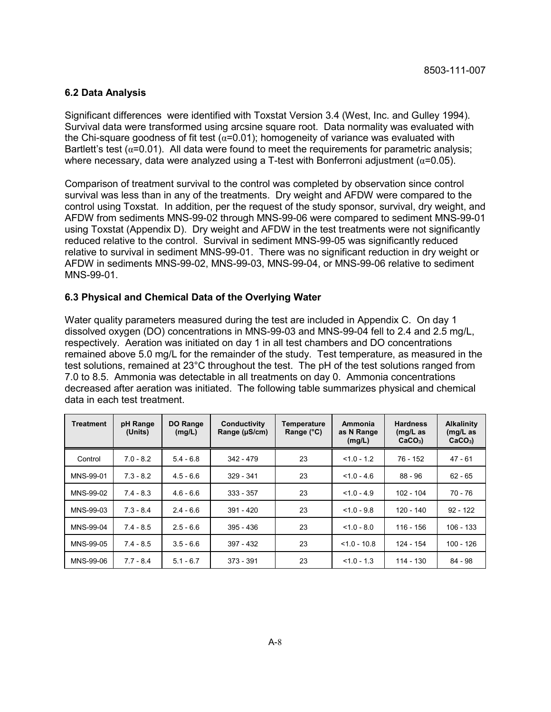#### **6.2 Data Analysis**

Significant differences were identified with Toxstat Version 3.4 (West, Inc. and Gulley 1994). Survival data were transformed using arcsine square root. Data normality was evaluated with the Chi-square goodness of fit test  $(\alpha=0.01)$ ; homogeneity of variance was evaluated with Bartlett's test  $(a=0.01)$ . All data were found to meet the requirements for parametric analysis; where necessary, data were analyzed using a T-test with Bonferroni adjustment ( $\alpha$ =0.05).

Comparison of treatment survival to the control was completed by observation since control survival was less than in any of the treatments. Dry weight and AFDW were compared to the control using Toxstat. In addition, per the request of the study sponsor, survival, dry weight, and AFDW from sediments MNS-99-02 through MNS-99-06 were compared to sediment MNS-99-01 using Toxstat (Appendix D). Dry weight and AFDW in the test treatments were not significantly reduced relative to the control. Survival in sediment MNS-99-05 was significantly reduced relative to survival in sediment MNS-99-01. There was no significant reduction in dry weight or AFDW in sediments MNS-99-02, MNS-99-03, MNS-99-04, or MNS-99-06 relative to sediment MNS-99-01.

#### **6.3 Physical and Chemical Data of the Overlying Water**

Water quality parameters measured during the test are included in Appendix C. On day 1 dissolved oxygen (DO) concentrations in MNS-99-03 and MNS-99-04 fell to 2.4 and 2.5 mg/L, respectively. Aeration was initiated on day 1 in all test chambers and DO concentrations remained above 5.0 mg/L for the remainder of the study. Test temperature, as measured in the test solutions, remained at 23°C throughout the test. The pH of the test solutions ranged from 7.0 to 8.5. Ammonia was detectable in all treatments on day 0. Ammonia concentrations decreased after aeration was initiated. The following table summarizes physical and chemical data in each test treatment.

| Treatment | pH Range<br>(Units) | DO Range<br>(mg/L) | Conductivity<br>Range (µS/cm) | Temperature<br>Range $(^{\circ}C)$ | Ammonia<br>as N Range<br>(mg/L) | <b>Hardness</b><br>$(mg/L)$ as<br>$CaCO3$ ) | <b>Alkalinity</b><br>$(mg/L)$ as<br>$CaCO3$ ) |
|-----------|---------------------|--------------------|-------------------------------|------------------------------------|---------------------------------|---------------------------------------------|-----------------------------------------------|
| Control   | $7.0 - 8.2$         | $5.4 - 6.8$        | 342 - 479                     | 23                                 | $< 1.0 - 1.2$                   | 76 - 152                                    | 47 - 61                                       |
| MNS-99-01 | $7.3 - 8.2$         | $4.5 - 6.6$        | $329 - 341$                   | 23                                 | $< 1.0 - 4.6$                   | $88 - 96$                                   | $62 - 65$                                     |
| MNS-99-02 | $7.4 - 8.3$         | $4.6 - 6.6$        | $333 - 357$                   | 23                                 | $< 1.0 - 4.9$                   | 102 - 104                                   | 70 - 76                                       |
| MNS-99-03 | $7.3 - 8.4$         | $2.4 - 6.6$        | $391 - 420$                   | 23                                 | $< 1.0 - 9.8$                   | 120 - 140                                   | $92 - 122$                                    |
| MNS-99-04 | $7.4 - 8.5$         | $2.5 - 6.6$        | $395 - 436$                   | 23                                 | $< 1.0 - 8.0$                   | 116 - 156                                   | 106 - 133                                     |
| MNS-99-05 | $7.4 - 8.5$         | $3.5 - 6.6$        | $397 - 432$                   | 23                                 | $< 1.0 - 10.8$                  | 124 - 154                                   | 100 - 126                                     |
| MNS-99-06 | $7.7 - 8.4$         | $5.1 - 6.7$        | 373 - 391                     | 23                                 | $< 1.0 - 1.3$                   | 114 - 130                                   | 84 - 98                                       |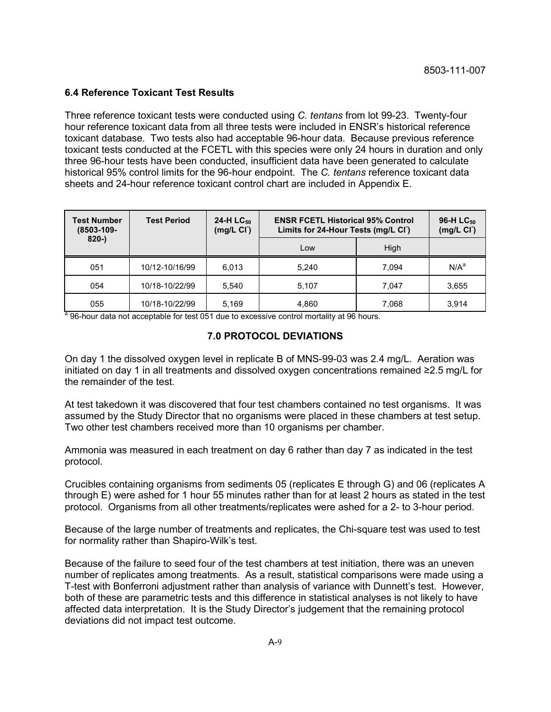#### **6.4 Reference Toxicant Test Results**

Three reference toxicant tests were conducted using *C. tentans* from lot 99-23. Twenty-four hour reference toxicant data from all three tests were included in ENSR's historical reference toxicant database. Two tests also had acceptable 96-hour data. Because previous reference toxicant tests conducted at the FCETL with this species were only 24 hours in duration and only three 96-hour tests have been conducted, insufficient data have been generated to calculate historical 95% control limits for the 96-hour endpoint. The *C. tentans* reference toxicant data sheets and 24-hour reference toxicant control chart are included in Appendix E.

| <b>Test Number</b><br>(8503-109- | <b>Test Period</b> | 24-H $LC_{50}$<br>(mg/L <sub>C</sub> ) | <b>ENSR FCETL Historical 95% Control</b><br>Limits for 24-Hour Tests (mg/L CI) |       | 96-H LC <sub>50</sub><br>(mg/L <sub>C1</sub> ) |
|----------------------------------|--------------------|----------------------------------------|--------------------------------------------------------------------------------|-------|------------------------------------------------|
| $820 -$                          |                    |                                        | Low                                                                            | Hiah  |                                                |
| 051                              | 10/12-10/16/99     | 6.013                                  | 5.240                                                                          | 7.094 | N/A <sup>a</sup>                               |
| 054                              | 10/18-10/22/99     | 5.540                                  | 5.107                                                                          | 7.047 | 3,655                                          |
| 055                              | 10/18-10/22/99     | 5,169                                  | 4,860                                                                          | 7,068 | 3,914                                          |

<sup>a</sup> 96-hour data not acceptable for test 051 due to excessive control mortality at 96 hours.

#### **7.0 PROTOCOL DEVIATIONS**

On day 1 the dissolved oxygen level in replicate B of MNS-99-03 was 2.4 mg/L. Aeration was initiated on day 1 in all treatments and dissolved oxygen concentrations remained ≥2.5 mg/L for the remainder of the test.

At test takedown it was discovered that four test chambers contained no test organisms. It was assumed by the Study Director that no organisms were placed in these chambers at test setup. Two other test chambers received more than 10 organisms per chamber.

Ammonia was measured in each treatment on day 6 rather than day 7 as indicated in the test protocol.

Crucibles containing organisms from sediments 05 (replicates E through G) and 06 (replicates A through E) were ashed for 1 hour 55 minutes rather than for at least 2 hours as stated in the test protocol. Organisms from all other treatments/replicates were ashed for a 2- to 3-hour period.

Because of the large number of treatments and replicates, the Chi-square test was used to test for normality rather than Shapiro-Wilk's test.

Because of the failure to seed four of the test chambers at test initiation, there was an uneven number of replicates among treatments. As a result, statistical comparisons were made using a T-test with Bonferroni adjustment rather than analysis of variance with Dunnett's test. However, both of these are parametric tests and this difference in statistical analyses is not likely to have affected data interpretation. It is the Study Director's judgement that the remaining protocol deviations did not impact test outcome.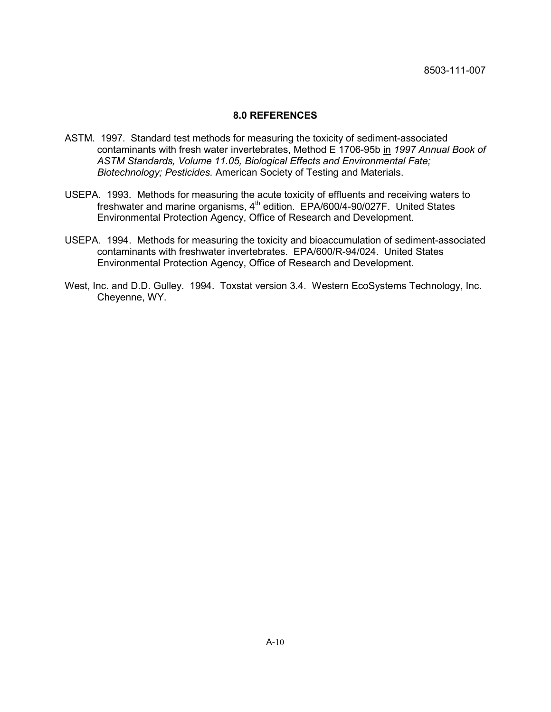#### **8.0 REFERENCES**

- ASTM. 1997. Standard test methods for measuring the toxicity of sediment-associated contaminants with fresh water invertebrates, Method E 1706-95b in *1997 Annual Book of ASTM Standards, Volume 11.05, Biological Effects and Environmental Fate; Biotechnology; Pesticides.* American Society of Testing and Materials.
- USEPA. 1993. Methods for measuring the acute toxicity of effluents and receiving waters to freshwater and marine organisms, 4<sup>th</sup> edition. EPA/600/4-90/027F. United States Environmental Protection Agency, Office of Research and Development.
- USEPA. 1994. Methods for measuring the toxicity and bioaccumulation of sediment-associated contaminants with freshwater invertebrates. EPA/600/R-94/024. United States Environmental Protection Agency, Office of Research and Development.
- West, Inc. and D.D. Gulley. 1994. Toxstat version 3.4. Western EcoSystems Technology, Inc. Cheyenne, WY.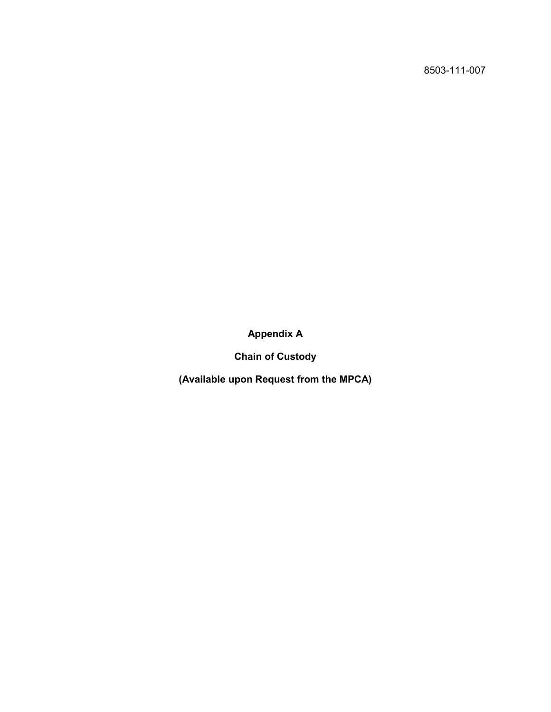**Appendix A**

**Chain of Custody**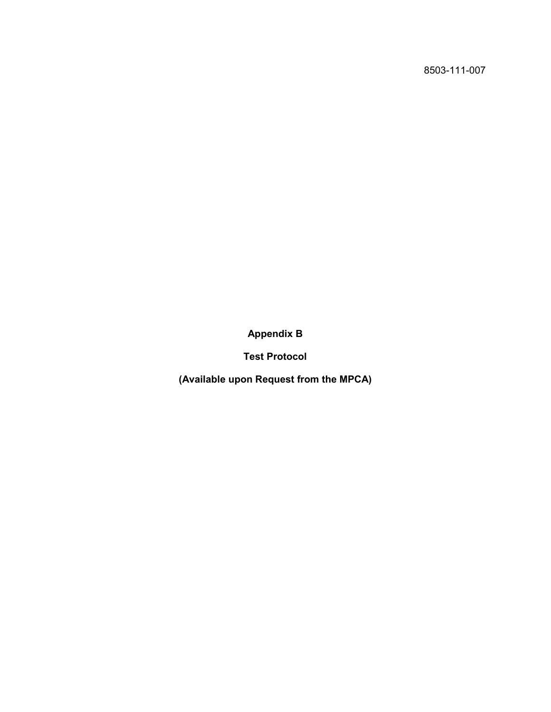**Appendix B**

**Test Protocol**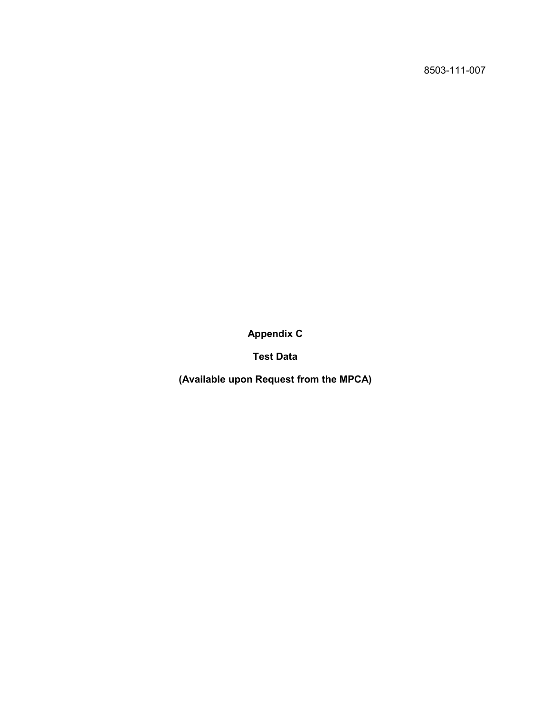**Appendix C**

**Test Data**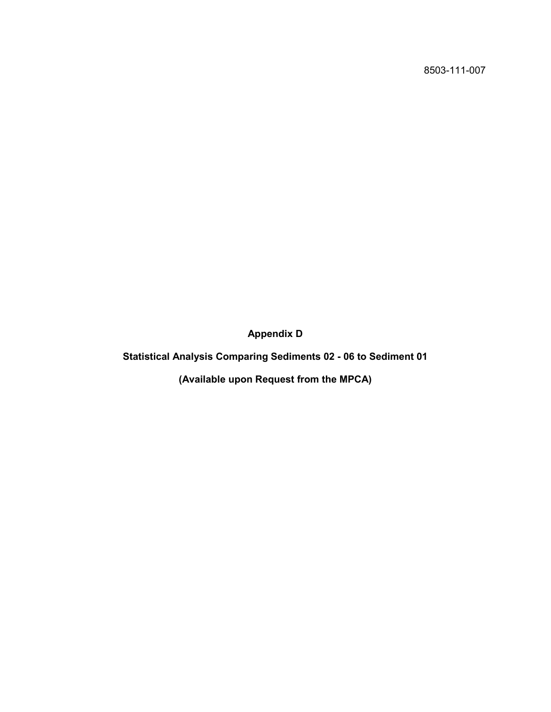**Appendix D**

**Statistical Analysis Comparing Sediments 02 - 06 to Sediment 01**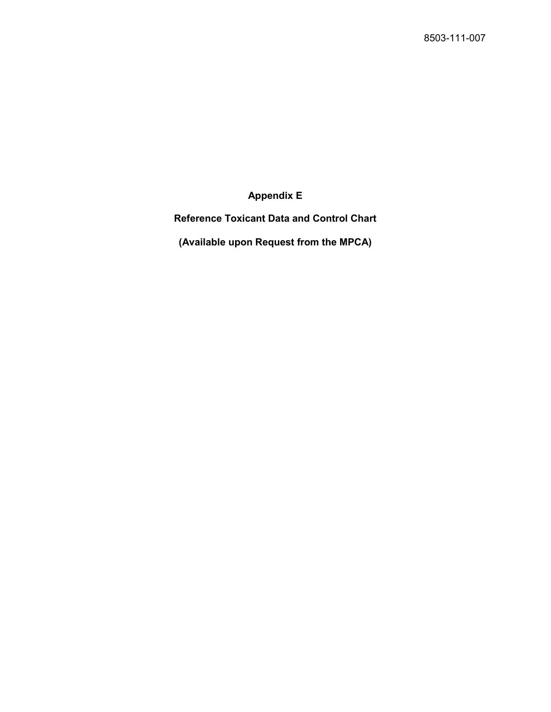**Appendix E**

**Reference Toxicant Data and Control Chart**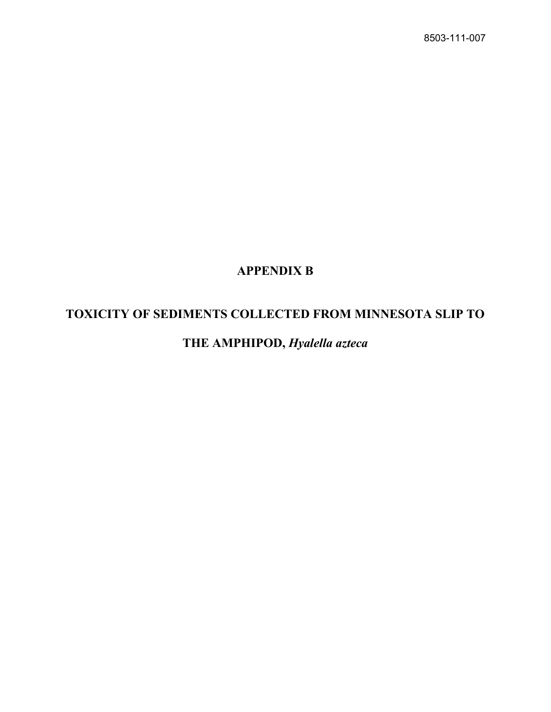## **APPENDIX B**

## **TOXICITY OF SEDIMENTS COLLECTED FROM MINNESOTA SLIP TO**

**THE AMPHIPOD,** *Hyalella azteca*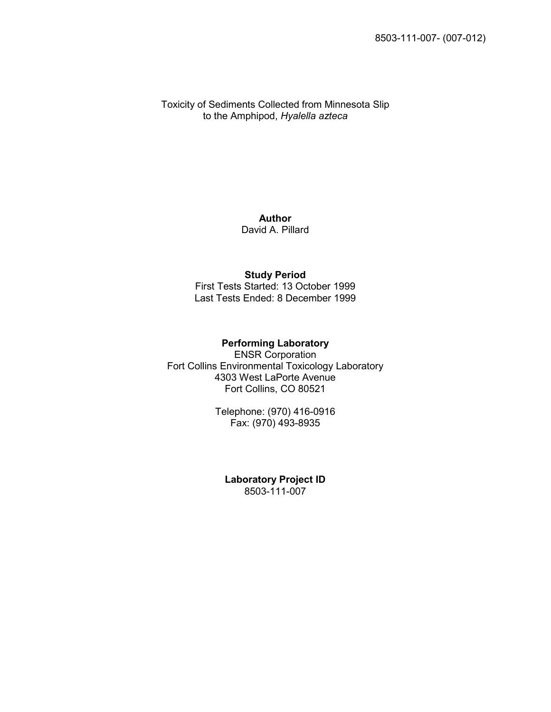Toxicity of Sediments Collected from Minnesota Slip to the Amphipod, *Hyalella azteca*

> **Author** David A. Pillard

#### **Study Period**

First Tests Started: 13 October 1999 Last Tests Ended: 8 December 1999

#### **Performing Laboratory**

ENSR Corporation Fort Collins Environmental Toxicology Laboratory 4303 West LaPorte Avenue Fort Collins, CO 80521

> Telephone: (970) 416-0916 Fax: (970) 493-8935

**Laboratory Project ID** 8503-111-007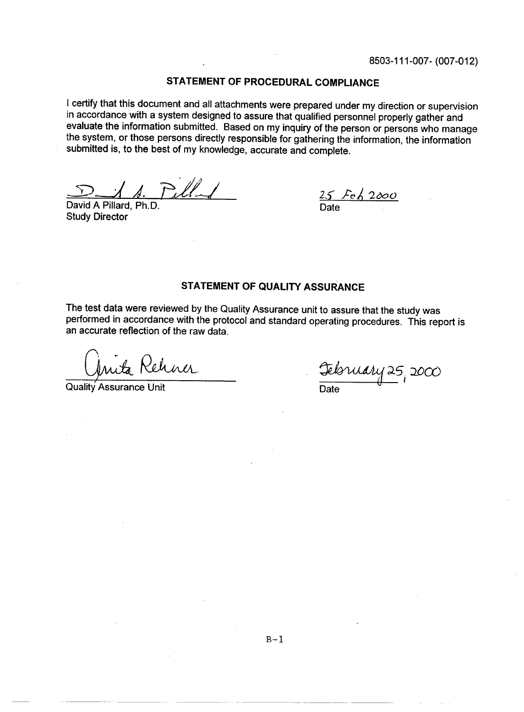#### STATEMENT OF PROCEDURAL COMPLIANCE

I certify that this document and all attachments were prepared under my direction or supervision in accordance with a system designed to assure that qualified personnel properly gather and evaluate the information submitted. Based on my inquiry of the person or persons who manage the system, or those persons directly responsible for gathering the information, the information submitted is, to the best of my knowledge, accurate and complete.

David A Pillard, Ph.D. **Study Director** 

 $\frac{25 \text{ Fe}}{2000}$ 

#### **STATEMENT OF QUALITY ASSURANCE**

The test data were reviewed by the Quality Assurance unit to assure that the study was performed in accordance with the protocol and standard operating procedures. This report is an accurate reflection of the raw data.

Kehner

Quality Assurance Unit

February 25, 2000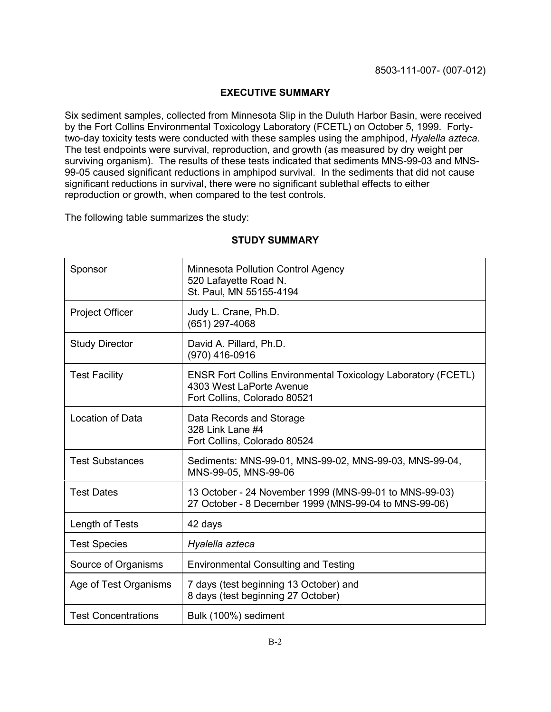#### **EXECUTIVE SUMMARY**

Six sediment samples, collected from Minnesota Slip in the Duluth Harbor Basin, were received by the Fort Collins Environmental Toxicology Laboratory (FCETL) on October 5, 1999. Fortytwo-day toxicity tests were conducted with these samples using the amphipod, *Hyalella azteca*. The test endpoints were survival, reproduction, and growth (as measured by dry weight per surviving organism). The results of these tests indicated that sediments MNS-99-03 and MNS-99-05 caused significant reductions in amphipod survival. In the sediments that did not cause significant reductions in survival, there were no significant sublethal effects to either reproduction or growth, when compared to the test controls.

The following table summarizes the study:

| Sponsor                    | Minnesota Pollution Control Agency<br>520 Lafayette Road N.<br>St. Paul, MN 55155-4194                                           |
|----------------------------|----------------------------------------------------------------------------------------------------------------------------------|
| <b>Project Officer</b>     | Judy L. Crane, Ph.D.<br>(651) 297-4068                                                                                           |
| <b>Study Director</b>      | David A. Pillard, Ph.D.<br>(970) 416-0916                                                                                        |
| <b>Test Facility</b>       | <b>ENSR Fort Collins Environmental Toxicology Laboratory (FCETL)</b><br>4303 West LaPorte Avenue<br>Fort Collins, Colorado 80521 |
| Location of Data           | Data Records and Storage<br>328 Link Lane #4<br>Fort Collins, Colorado 80524                                                     |
| <b>Test Substances</b>     | Sediments: MNS-99-01, MNS-99-02, MNS-99-03, MNS-99-04,<br>MNS-99-05, MNS-99-06                                                   |
| <b>Test Dates</b>          | 13 October - 24 November 1999 (MNS-99-01 to MNS-99-03)<br>27 October - 8 December 1999 (MNS-99-04 to MNS-99-06)                  |
| Length of Tests            | 42 days                                                                                                                          |
| <b>Test Species</b>        | Hyalella azteca                                                                                                                  |
| Source of Organisms        | <b>Environmental Consulting and Testing</b>                                                                                      |
| Age of Test Organisms      | 7 days (test beginning 13 October) and<br>8 days (test beginning 27 October)                                                     |
| <b>Test Concentrations</b> | Bulk (100%) sediment                                                                                                             |

#### **STUDY SUMMARY**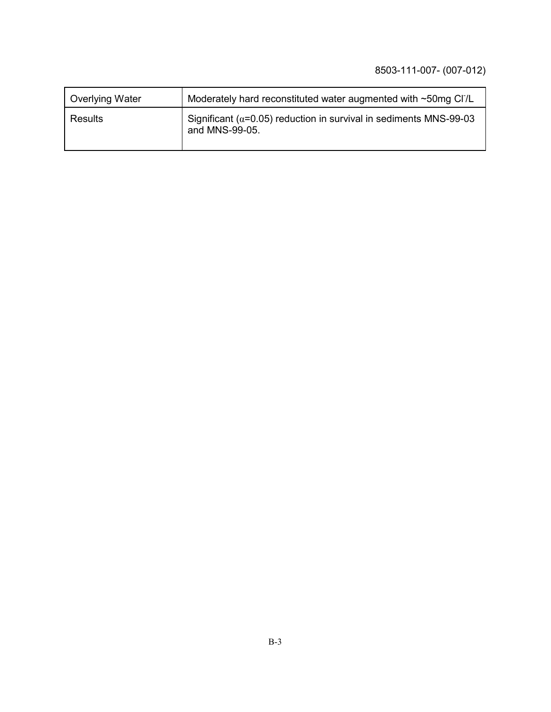| <b>Overlying Water</b> | Moderately hard reconstituted water augmented with ~50mg Cl7L                                |
|------------------------|----------------------------------------------------------------------------------------------|
| Results                | Significant ( $\alpha$ =0.05) reduction in survival in sediments MNS-99-03<br>and MNS-99-05. |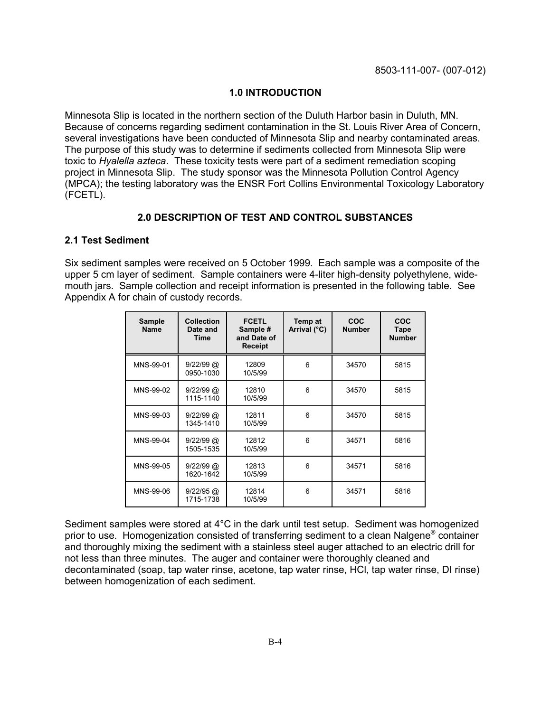#### **1.0 INTRODUCTION**

Minnesota Slip is located in the northern section of the Duluth Harbor basin in Duluth, MN. Because of concerns regarding sediment contamination in the St. Louis River Area of Concern, several investigations have been conducted of Minnesota Slip and nearby contaminated areas. The purpose of this study was to determine if sediments collected from Minnesota Slip were toxic to *Hyalella azteca*. These toxicity tests were part of a sediment remediation scoping project in Minnesota Slip. The study sponsor was the Minnesota Pollution Control Agency (MPCA); the testing laboratory was the ENSR Fort Collins Environmental Toxicology Laboratory (FCETL).

#### **2.0 DESCRIPTION OF TEST AND CONTROL SUBSTANCES**

#### **2.1 Test Sediment**

Six sediment samples were received on 5 October 1999. Each sample was a composite of the upper 5 cm layer of sediment. Sample containers were 4-liter high-density polyethylene, widemouth jars. Sample collection and receipt information is presented in the following table. See Appendix A for chain of custody records.

| <b>Sample</b><br><b>Name</b> | <b>Collection</b><br>Date and<br>Time | <b>FCETL</b><br>Sample #<br>and Date of<br><b>Receipt</b> | Temp at<br>Arrival (°C) | COC<br><b>Number</b> | COC<br>Tape<br><b>Number</b> |
|------------------------------|---------------------------------------|-----------------------------------------------------------|-------------------------|----------------------|------------------------------|
| MNS-99-01                    | $9/22/99$ @<br>0950-1030              | 12809<br>10/5/99                                          | 6                       | 34570                | 5815                         |
| MNS-99-02                    | $9/22/99$ @<br>1115-1140              | 12810<br>10/5/99                                          | 6                       | 34570                | 5815                         |
| MNS-99-03                    | $9/22/99$ @<br>1345-1410              | 12811<br>10/5/99                                          | 6                       | 34570                | 5815                         |
| MNS-99-04                    | $9/22/99$ @<br>1505-1535              | 12812<br>10/5/99                                          | 6                       | 34571                | 5816                         |
| MNS-99-05                    | $9/22/99$ @<br>1620-1642              | 12813<br>10/5/99                                          | 6                       | 34571                | 5816                         |
| MNS-99-06                    | $9/22/95$ @<br>1715-1738              | 12814<br>10/5/99                                          | 6                       | 34571                | 5816                         |

Sediment samples were stored at 4°C in the dark until test setup. Sediment was homogenized prior to use. Homogenization consisted of transferring sediment to a clean Nalgene® container and thoroughly mixing the sediment with a stainless steel auger attached to an electric drill for not less than three minutes. The auger and container were thoroughly cleaned and decontaminated (soap, tap water rinse, acetone, tap water rinse, HCl, tap water rinse, DI rinse) between homogenization of each sediment.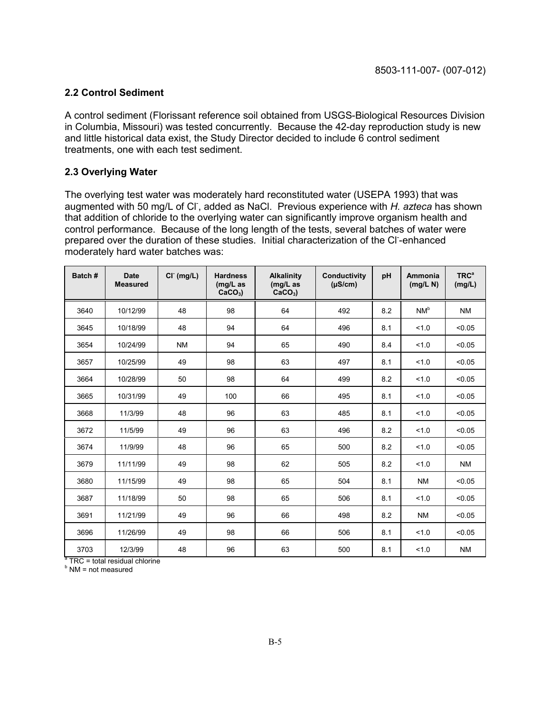#### **2.2 Control Sediment**

A control sediment (Florissant reference soil obtained from USGS-Biological Resources Division in Columbia, Missouri) was tested concurrently. Because the 42-day reproduction study is new and little historical data exist, the Study Director decided to include 6 control sediment treatments, one with each test sediment.

#### **2.3 Overlying Water**

The overlying test water was moderately hard reconstituted water (USEPA 1993) that was augmented with 50 mg/L of Cl<sup>-</sup>, added as NaCl. Previous experience with *H. azteca* has shown that addition of chloride to the overlying water can significantly improve organism health and control performance. Because of the long length of the tests, several batches of water were prepared over the duration of these studies. Initial characterization of the Cl-enhanced moderately hard water batches was:

| Batch # | <b>Date</b><br><b>Measured</b> | CI <sup>T</sup> (mg/L) | <b>Hardness</b><br>$(mg/L)$ as<br>$CaCO3$ ) | <b>Alkalinity</b><br>$(mg/L)$ as<br>$CaCO3$ ) | Conductivity<br>$(\mu S/cm)$ | pH  | Ammonia<br>(mg/L N) | TRC <sup>a</sup><br>(mg/L) |
|---------|--------------------------------|------------------------|---------------------------------------------|-----------------------------------------------|------------------------------|-----|---------------------|----------------------------|
| 3640    | 10/12/99                       | 48                     | 98                                          | 64                                            | 492                          | 8.2 | NM <sup>b</sup>     | <b>NM</b>                  |
| 3645    | 10/18/99                       | 48                     | 94                                          | 64                                            | 496                          | 8.1 | 1.0                 | < 0.05                     |
| 3654    | 10/24/99                       | <b>NM</b>              | 94                                          | 65                                            | 490                          | 8.4 | 1.0                 | < 0.05                     |
| 3657    | 10/25/99                       | 49                     | 98                                          | 63                                            | 497                          | 8.1 | 1.0                 | < 0.05                     |
| 3664    | 10/28/99                       | 50                     | 98                                          | 64                                            | 499                          | 8.2 | 1.0                 | < 0.05                     |
| 3665    | 10/31/99                       | 49                     | 100                                         | 66                                            | 495                          | 8.1 | 1.0                 | < 0.05                     |
| 3668    | 11/3/99                        | 48                     | 96                                          | 63                                            | 485                          | 8.1 | 1.0                 | < 0.05                     |
| 3672    | 11/5/99                        | 49                     | 96                                          | 63                                            | 496                          | 8.2 | 1.0                 | < 0.05                     |
| 3674    | 11/9/99                        | 48                     | 96                                          | 65                                            | 500                          | 8.2 | 1.0                 | < 0.05                     |
| 3679    | 11/11/99                       | 49                     | 98                                          | 62                                            | 505                          | 8.2 | 1.0                 | <b>NM</b>                  |
| 3680    | 11/15/99                       | 49                     | 98                                          | 65                                            | 504                          | 8.1 | <b>NM</b>           | < 0.05                     |
| 3687    | 11/18/99                       | 50                     | 98                                          | 65                                            | 506                          | 8.1 | 1.0                 | < 0.05                     |
| 3691    | 11/21/99                       | 49                     | 96                                          | 66                                            | 498                          | 8.2 | <b>NM</b>           | < 0.05                     |
| 3696    | 11/26/99                       | 49                     | 98                                          | 66                                            | 506                          | 8.1 | 1.0                 | < 0.05                     |
| 3703    | 12/3/99                        | 48                     | 96                                          | 63                                            | 500                          | 8.1 | 1.0                 | <b>NM</b>                  |

<sup>a</sup> TRC = total residual chlorine

<sup>b</sup> NM = not measured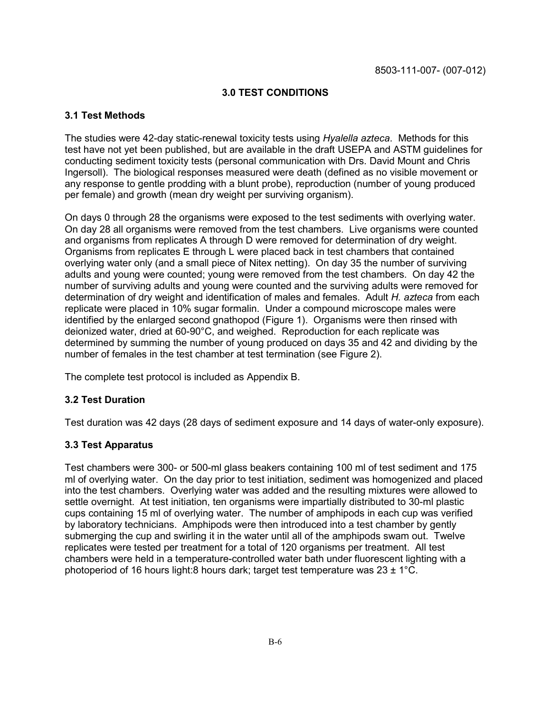#### **3.0 TEST CONDITIONS**

#### **3.1 Test Methods**

The studies were 42-day static-renewal toxicity tests using *Hyalella azteca*. Methods for this test have not yet been published, but are available in the draft USEPA and ASTM guidelines for conducting sediment toxicity tests (personal communication with Drs. David Mount and Chris Ingersoll). The biological responses measured were death (defined as no visible movement or any response to gentle prodding with a blunt probe), reproduction (number of young produced per female) and growth (mean dry weight per surviving organism).

On days 0 through 28 the organisms were exposed to the test sediments with overlying water. On day 28 all organisms were removed from the test chambers. Live organisms were counted and organisms from replicates A through D were removed for determination of dry weight. Organisms from replicates E through L were placed back in test chambers that contained overlying water only (and a small piece of Nitex netting). On day 35 the number of surviving adults and young were counted; young were removed from the test chambers. On day 42 the number of surviving adults and young were counted and the surviving adults were removed for determination of dry weight and identification of males and females. Adult *H. azteca* from each replicate were placed in 10% sugar formalin. Under a compound microscope males were identified by the enlarged second gnathopod (Figure 1). Organisms were then rinsed with deionized water, dried at 60-90°C, and weighed. Reproduction for each replicate was determined by summing the number of young produced on days 35 and 42 and dividing by the number of females in the test chamber at test termination (see Figure 2).

The complete test protocol is included as Appendix B.

#### **3.2 Test Duration**

Test duration was 42 days (28 days of sediment exposure and 14 days of water-only exposure).

#### **3.3 Test Apparatus**

Test chambers were 300- or 500-ml glass beakers containing 100 ml of test sediment and 175 ml of overlying water. On the day prior to test initiation, sediment was homogenized and placed into the test chambers. Overlying water was added and the resulting mixtures were allowed to settle overnight. At test initiation, ten organisms were impartially distributed to 30-ml plastic cups containing 15 ml of overlying water. The number of amphipods in each cup was verified by laboratory technicians. Amphipods were then introduced into a test chamber by gently submerging the cup and swirling it in the water until all of the amphipods swam out. Twelve replicates were tested per treatment for a total of 120 organisms per treatment. All test chambers were held in a temperature-controlled water bath under fluorescent lighting with a photoperiod of 16 hours light:8 hours dark; target test temperature was  $23 \pm 1^{\circ}$ C.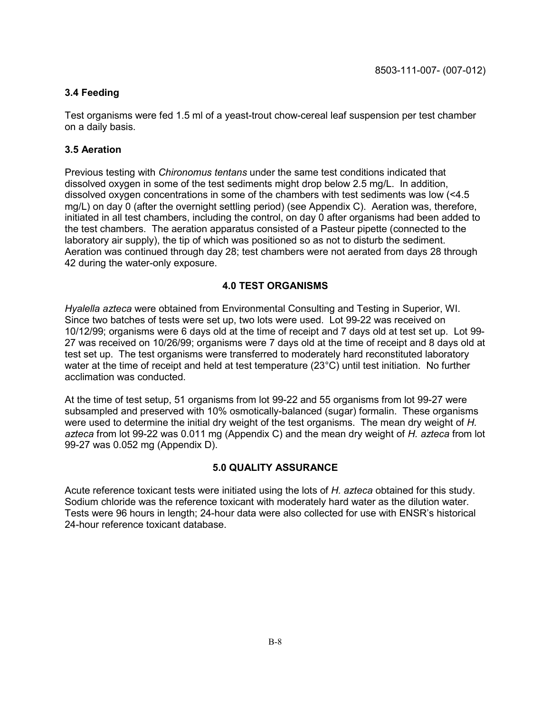#### **3.4 Feeding**

Test organisms were fed 1.5 ml of a yeast-trout chow-cereal leaf suspension per test chamber on a daily basis.

#### **3.5 Aeration**

Previous testing with *Chironomus tentans* under the same test conditions indicated that dissolved oxygen in some of the test sediments might drop below 2.5 mg/L. In addition, dissolved oxygen concentrations in some of the chambers with test sediments was low (<4.5 mg/L) on day 0 (after the overnight settling period) (see Appendix C). Aeration was, therefore, initiated in all test chambers, including the control, on day 0 after organisms had been added to the test chambers. The aeration apparatus consisted of a Pasteur pipette (connected to the laboratory air supply), the tip of which was positioned so as not to disturb the sediment. Aeration was continued through day 28; test chambers were not aerated from days 28 through 42 during the water-only exposure.

#### **4.0 TEST ORGANISMS**

*Hyalella azteca* were obtained from Environmental Consulting and Testing in Superior, WI. Since two batches of tests were set up, two lots were used. Lot 99-22 was received on 10/12/99; organisms were 6 days old at the time of receipt and 7 days old at test set up. Lot 99- 27 was received on 10/26/99; organisms were 7 days old at the time of receipt and 8 days old at test set up. The test organisms were transferred to moderately hard reconstituted laboratory water at the time of receipt and held at test temperature (23°C) until test initiation. No further acclimation was conducted.

At the time of test setup, 51 organisms from lot 99-22 and 55 organisms from lot 99-27 were subsampled and preserved with 10% osmotically-balanced (sugar) formalin. These organisms were used to determine the initial dry weight of the test organisms. The mean dry weight of *H. azteca* from lot 99-22 was 0.011 mg (Appendix C) and the mean dry weight of *H. azteca* from lot 99-27 was 0.052 mg (Appendix D).

#### **5.0 QUALITY ASSURANCE**

Acute reference toxicant tests were initiated using the lots of *H. azteca* obtained for this study. Sodium chloride was the reference toxicant with moderately hard water as the dilution water. Tests were 96 hours in length; 24-hour data were also collected for use with ENSR's historical 24-hour reference toxicant database.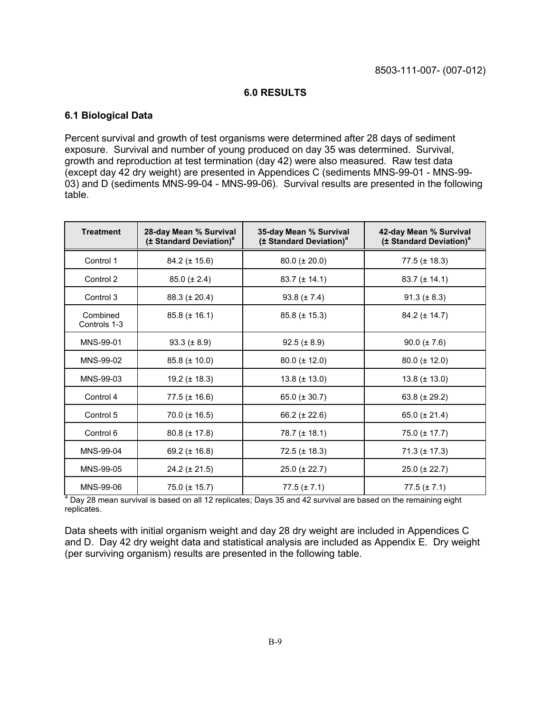#### **6.0 RESULTS**

#### **6.1 Biological Data**

Percent survival and growth of test organisms were determined after 28 days of sediment exposure. Survival and number of young produced on day 35 was determined. Survival, growth and reproduction at test termination (day 42) were also measured. Raw test data (except day 42 dry weight) are presented in Appendices C (sediments MNS-99-01 - MNS-99- 03) and D (sediments MNS-99-04 - MNS-99-06). Survival results are presented in the following table.

| <b>Treatment</b>         | 28-day Mean % Survival<br>(± Standard Deviation) <sup>a</sup> | 35-day Mean % Survival<br>(± Standard Deviation) <sup>a</sup> | 42-day Mean % Survival<br>(± Standard Deviation) <sup>a</sup> |
|--------------------------|---------------------------------------------------------------|---------------------------------------------------------------|---------------------------------------------------------------|
| Control 1                | $84.2 (\pm 15.6)$                                             | $80.0 (\pm 20.0)$                                             | $77.5 (\pm 18.3)$                                             |
| Control 2                | $85.0 (\pm 2.4)$                                              | $83.7 (\pm 14.1)$                                             | $83.7 (\pm 14.1)$                                             |
| Control 3                | $88.3 (\pm 20.4)$                                             | 93.8 $(\pm 7.4)$                                              | 91.3 ( $\pm$ 8.3)                                             |
| Combined<br>Controls 1-3 | $85.8 (\pm 16.1)$                                             | $85.8 (\pm 15.3)$                                             | $84.2 (\pm 14.7)$                                             |
| MNS-99-01                | 93.3 $(\pm 8.9)$                                              | $92.5 (\pm 8.9)$                                              | $90.0 (\pm 7.6)$                                              |
| MNS-99-02                | $85.8 (\pm 10.0)$                                             | $80.0 (\pm 12.0)$                                             | $80.0 (\pm 12.0)$                                             |
| MNS-99-03                | 19.2 $(\pm 18.3)$                                             | $13.8 (\pm 13.0)$                                             | $13.8 (\pm 13.0)$                                             |
| Control 4                | $77.5 (\pm 16.6)$                                             | 65.0 $(\pm 30.7)$                                             | 63.8 $(\pm 29.2)$                                             |
| Control 5                | $70.0 (\pm 16.5)$                                             | 66.2 $(\pm 22.6)$                                             | 65.0 $(\pm 21.4)$                                             |
| Control 6                | $80.8 (\pm 17.8)$                                             | $78.7 (\pm 18.1)$                                             | 75.0 (± 17.7)                                                 |
| MNS-99-04                | 69.2 $(\pm 16.8)$                                             | $72.5 (\pm 18.3)$                                             | $71.3 (\pm 17.3)$                                             |
| MNS-99-05                | $24.2 (\pm 21.5)$                                             | $25.0 (\pm 22.7)$                                             | $25.0 (\pm 22.7)$                                             |
| MNS-99-06                | $75.0 (\pm 15.7)$                                             | $77.5 (\pm 7.1)$                                              | $77.5 (\pm 7.1)$                                              |

<sup>a</sup> Day 28 mean survival is based on all 12 replicates; Days 35 and 42 survival are based on the remaining eight replicates.

Data sheets with initial organism weight and day 28 dry weight are included in Appendices C and D. Day 42 dry weight data and statistical analysis are included as Appendix E. Dry weight (per surviving organism) results are presented in the following table.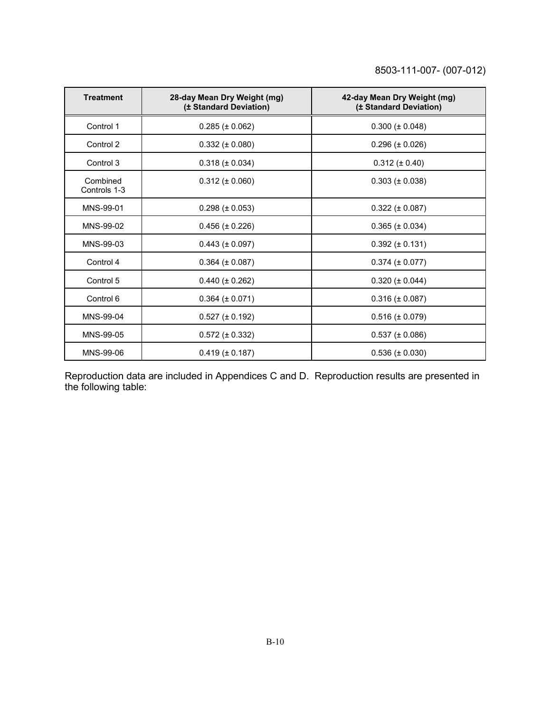| <b>Treatment</b>         | 28-day Mean Dry Weight (mg)<br>(± Standard Deviation) | 42-day Mean Dry Weight (mg)<br>(± Standard Deviation) |
|--------------------------|-------------------------------------------------------|-------------------------------------------------------|
| Control 1                | $0.285 (\pm 0.062)$                                   | $0.300 (\pm 0.048)$                                   |
| Control 2                | $0.332 (\pm 0.080)$                                   | $0.296 (\pm 0.026)$                                   |
| Control 3                | $0.318 (\pm 0.034)$                                   | $0.312 (\pm 0.40)$                                    |
| Combined<br>Controls 1-3 | $0.312 (\pm 0.060)$                                   | $0.303 (\pm 0.038)$                                   |
| MNS-99-01                | $0.298 (\pm 0.053)$                                   | $0.322 (\pm 0.087)$                                   |
| MNS-99-02                | $0.456 (\pm 0.226)$                                   | $0.365 (\pm 0.034)$                                   |
| MNS-99-03                | $0.443 (\pm 0.097)$                                   | $0.392 \ (\pm 0.131)$                                 |
| Control 4                | $0.364 (\pm 0.087)$                                   | $0.374 (\pm 0.077)$                                   |
| Control 5                | $0.440 (\pm 0.262)$                                   | $0.320 (\pm 0.044)$                                   |
| Control 6                | $0.364 (\pm 0.071)$                                   | $0.316 (\pm 0.087)$                                   |
| MNS-99-04                | $0.527 (\pm 0.192)$                                   | $0.516 (\pm 0.079)$                                   |
| MNS-99-05                | $0.572 (\pm 0.332)$                                   | $0.537 (\pm 0.086)$                                   |
| MNS-99-06                | $0.419 (\pm 0.187)$                                   | $0.536 (\pm 0.030)$                                   |

Reproduction data are included in Appendices C and D. Reproduction results are presented in the following table: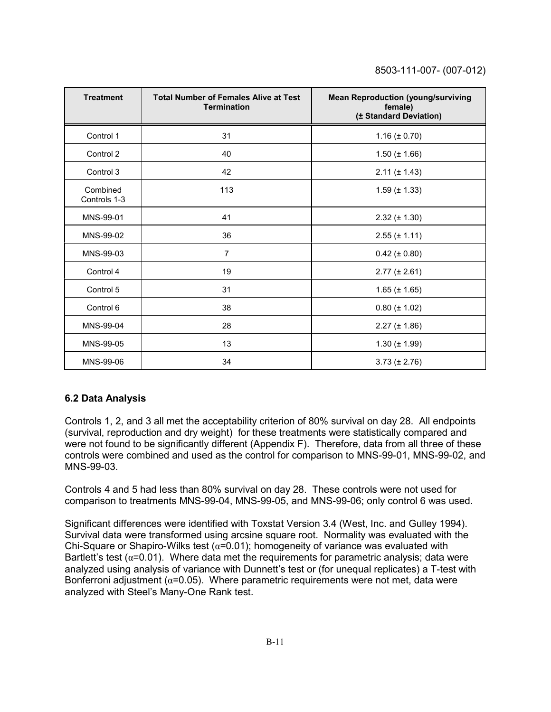| <b>Treatment</b>         | <b>Total Number of Females Alive at Test</b><br><b>Termination</b> | <b>Mean Reproduction (young/surviving</b><br>female)<br>(± Standard Deviation) |
|--------------------------|--------------------------------------------------------------------|--------------------------------------------------------------------------------|
| Control 1                | 31                                                                 | $1.16 (\pm 0.70)$                                                              |
| Control 2                | 40                                                                 | $1.50 (\pm 1.66)$                                                              |
| Control 3                | 42                                                                 | $2.11 (\pm 1.43)$                                                              |
| Combined<br>Controls 1-3 | 113                                                                | $1.59 \ (\pm 1.33)$                                                            |
| MNS-99-01                | 41                                                                 | $2.32 (\pm 1.30)$                                                              |
| MNS-99-02                | 36                                                                 | $2.55 (\pm 1.11)$                                                              |
| MNS-99-03                | $\overline{7}$                                                     | $0.42 (\pm 0.80)$                                                              |
| Control 4                | 19                                                                 | $2.77 (\pm 2.61)$                                                              |
| Control 5                | 31                                                                 | $1.65 (\pm 1.65)$                                                              |
| Control 6                | 38                                                                 | $0.80 (\pm 1.02)$                                                              |
| MNS-99-04                | 28                                                                 | $2.27 (\pm 1.86)$                                                              |
| MNS-99-05                | 13                                                                 | $1.30 (\pm 1.99)$                                                              |
| MNS-99-06                | 34                                                                 | $3.73 (\pm 2.76)$                                                              |

#### **6.2 Data Analysis**

Controls 1, 2, and 3 all met the acceptability criterion of 80% survival on day 28. All endpoints (survival, reproduction and dry weight) for these treatments were statistically compared and were not found to be significantly different (Appendix F). Therefore, data from all three of these controls were combined and used as the control for comparison to MNS-99-01, MNS-99-02, and MNS-99-03.

Controls 4 and 5 had less than 80% survival on day 28. These controls were not used for comparison to treatments MNS-99-04, MNS-99-05, and MNS-99-06; only control 6 was used.

Significant differences were identified with Toxstat Version 3.4 (West, Inc. and Gulley 1994). Survival data were transformed using arcsine square root. Normality was evaluated with the Chi-Square or Shapiro-Wilks test ( $\alpha$ =0.01); homogeneity of variance was evaluated with Bartlett's test ( $\alpha$ =0.01). Where data met the requirements for parametric analysis; data were analyzed using analysis of variance with Dunnett's test or (for unequal replicates) a T-test with Bonferroni adjustment ( $\alpha$ =0.05). Where parametric requirements were not met, data were analyzed with Steel's Many-One Rank test.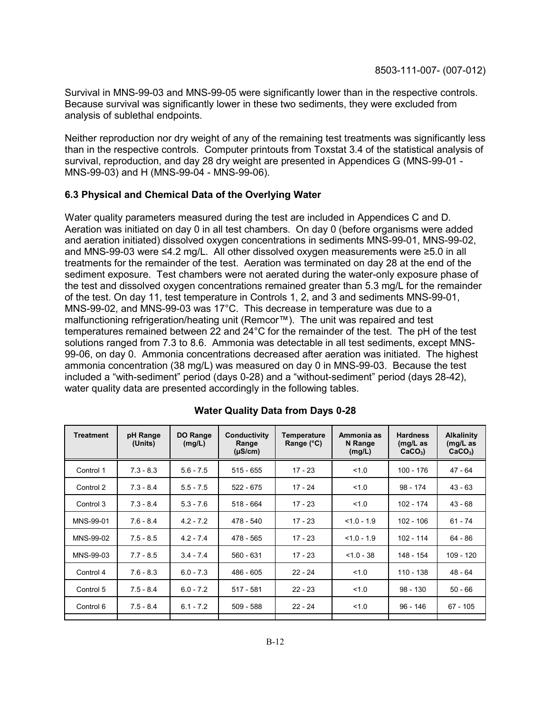Survival in MNS-99-03 and MNS-99-05 were significantly lower than in the respective controls. Because survival was significantly lower in these two sediments, they were excluded from analysis of sublethal endpoints.

Neither reproduction nor dry weight of any of the remaining test treatments was significantly less than in the respective controls. Computer printouts from Toxstat 3.4 of the statistical analysis of survival, reproduction, and day 28 dry weight are presented in Appendices G (MNS-99-01 - MNS-99-03) and H (MNS-99-04 - MNS-99-06).

#### **6.3 Physical and Chemical Data of the Overlying Water**

Water quality parameters measured during the test are included in Appendices C and D. Aeration was initiated on day 0 in all test chambers. On day 0 (before organisms were added and aeration initiated) dissolved oxygen concentrations in sediments MNS-99-01, MNS-99-02, and MNS-99-03 were ≤4.2 mg/L. All other dissolved oxygen measurements were ≥5.0 in all treatments for the remainder of the test. Aeration was terminated on day 28 at the end of the sediment exposure. Test chambers were not aerated during the water-only exposure phase of the test and dissolved oxygen concentrations remained greater than 5.3 mg/L for the remainder of the test. On day 11, test temperature in Controls 1, 2, and 3 and sediments MNS-99-01, MNS-99-02, and MNS-99-03 was 17°C. This decrease in temperature was due to a malfunctioning refrigeration/heating unit (Remcor™). The unit was repaired and test temperatures remained between 22 and 24°C for the remainder of the test. The pH of the test solutions ranged from 7.3 to 8.6. Ammonia was detectable in all test sediments, except MNS-99-06, on day 0. Ammonia concentrations decreased after aeration was initiated. The highest ammonia concentration (38 mg/L) was measured on day 0 in MNS-99-03. Because the test included a "with-sediment" period (days 0-28) and a "without-sediment" period (days 28-42), water quality data are presented accordingly in the following tables.

| <b>Treatment</b> | pH Range<br>(Units) | <b>DO Range</b><br>(mg/L) | Conductivity<br>Range<br>$(\mu S/cm)$ | <b>Temperature</b><br>Range $(^{\circ}C)$ | Ammonia as<br>N Range<br>(mg/L) | <b>Hardness</b><br>$(mg/L)$ as<br>$CaCO3$ ) | <b>Alkalinity</b><br>$(mg/L)$ as<br>$CaCO3$ ) |
|------------------|---------------------|---------------------------|---------------------------------------|-------------------------------------------|---------------------------------|---------------------------------------------|-----------------------------------------------|
| Control 1        | $7.3 - 8.3$         | $5.6 - 7.5$               | $515 - 655$                           | $17 - 23$                                 | 1.0                             | 100 - 176                                   | 47 - 64                                       |
| Control 2        | $7.3 - 8.4$         | $5.5 - 7.5$               | $522 - 675$                           | 17 - 24                                   | 1.0                             | $98 - 174$                                  | $43 - 63$                                     |
| Control 3        | $7.3 - 8.4$         | $5.3 - 7.6$               | $518 - 664$                           | $17 - 23$                                 | 1.0                             | $102 - 174$                                 | $43 - 68$                                     |
| MNS-99-01        | $7.6 - 8.4$         | $4.2 - 7.2$               | 478 - 540                             | $17 - 23$                                 | $< 1.0 - 1.9$                   | 102 - 106                                   | $61 - 74$                                     |
| MNS-99-02        | $7.5 - 8.5$         | $4.2 - 7.4$               | 478 - 565                             | $17 - 23$                                 | $< 1.0 - 1.9$                   | 102 - 114                                   | 64 - 86                                       |
| MNS-99-03        | $7.7 - 8.5$         | $3.4 - 7.4$               | 560 - 631                             | $17 - 23$                                 | $< 1.0 - 38$                    | 148 - 154                                   | 109 - 120                                     |
| Control 4        | $7.6 - 8.3$         | $6.0 - 7.3$               | 486 - 605                             | $22 - 24$                                 | 1.0                             | 110 - 138                                   | 48 - 64                                       |
| Control 5        | $7.5 - 8.4$         | $6.0 - 7.2$               | $517 - 581$                           | $22 - 23$                                 | 1.0                             | $98 - 130$                                  | $50 - 66$                                     |
| Control 6        | $7.5 - 8.4$         | $6.1 - 7.2$               | $509 - 588$                           | $22 - 24$                                 | 1.0                             | $96 - 146$                                  | $67 - 105$                                    |
|                  |                     |                           |                                       |                                           |                                 |                                             |                                               |

**Water Quality Data from Days 0-28**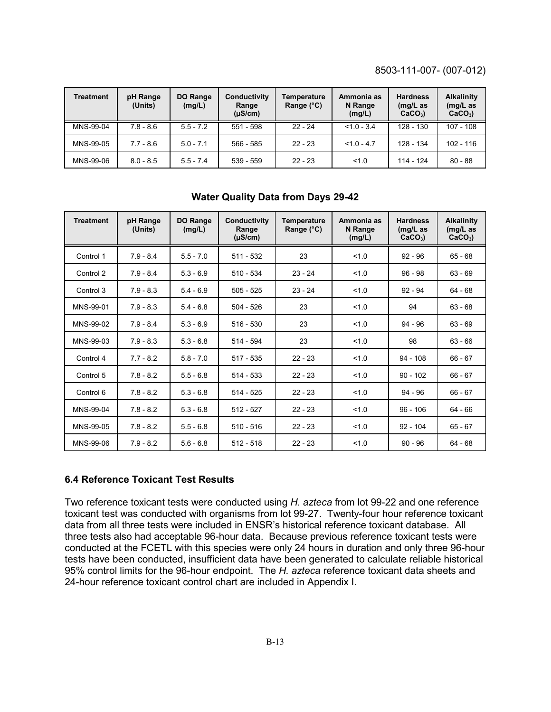| Treatment | pH Range<br>(Units) | <b>DO Range</b><br>(mg/L) | Conductivity<br>Range<br>$(\mu S/cm)$ | Temperature<br>Range $(^{\circ}C)$ | Ammonia as<br>N Range<br>(mg/L) | <b>Hardness</b><br>$(mg/L)$ as<br>$CaCO3$ ) | <b>Alkalinity</b><br>$(mg/L)$ as<br>$CaCO3$ ) |
|-----------|---------------------|---------------------------|---------------------------------------|------------------------------------|---------------------------------|---------------------------------------------|-----------------------------------------------|
| MNS-99-04 | $7.8 - 8.6$         | $55 - 72$                 | $551 - 598$                           | $22 - 24$                          | $< 1.0 - 3.4$                   | $128 - 130$                                 | $107 - 108$                                   |
| MNS-99-05 | $7.7 - 8.6$         | $5.0 - 7.1$               | $566 - 585$                           | $22 - 23$                          | $< 1.0 - 4.7$                   | 128 - 134                                   | $102 - 116$                                   |
| MNS-99-06 | $8.0 - 8.5$         | $5.5 - 7.4$               | $539 - 559$                           | $22 - 23$                          | 1.0                             | 114 - 124                                   | $80 - 88$                                     |

| <b>Treatment</b> | pH Range<br>(Units) | DO Range<br>(mg/L) | Conductivity<br>Range<br>$(\mu S/cm)$ | Temperature<br>Range $(^{\circ}C)$ | Ammonia as<br>N Range<br>(mg/L) | <b>Hardness</b><br>$(mg/L)$ as<br>$CaCO3$ ) | <b>Alkalinity</b><br>$(mg/L)$ as<br>$CaCO3$ ) |
|------------------|---------------------|--------------------|---------------------------------------|------------------------------------|---------------------------------|---------------------------------------------|-----------------------------------------------|
| Control 1        | $7.9 - 8.4$         | $5.5 - 7.0$        | $511 - 532$                           | 23                                 | 1.0                             | $92 - 96$                                   | $65 - 68$                                     |
| Control 2        | $7.9 - 8.4$         | $5.3 - 6.9$        | $510 - 534$                           | $23 - 24$                          | 1.0                             | $96 - 98$                                   | $63 - 69$                                     |
| Control 3        | $7.9 - 8.3$         | $5.4 - 6.9$        | $505 - 525$                           | $23 - 24$                          | 1.0                             | $92 - 94$                                   | $64 - 68$                                     |
| MNS-99-01        | $7.9 - 8.3$         | $5.4 - 6.8$        | $504 - 526$                           | 23                                 | 1.0                             | 94                                          | $63 - 68$                                     |
| MNS-99-02        | $7.9 - 8.4$         | $5.3 - 6.9$        | $516 - 530$                           | 23                                 | 1.0                             | 94 - 96                                     | $63 - 69$                                     |
| MNS-99-03        | $7.9 - 8.3$         | $5.3 - 6.8$        | $514 - 594$                           | 23                                 | 1.0                             | 98                                          | $63 - 66$                                     |
| Control 4        | $7.7 - 8.2$         | $5.8 - 7.0$        | $517 - 535$                           | $22 - 23$                          | 1.0                             | $94 - 108$                                  | $66 - 67$                                     |
| Control 5        | $7.8 - 8.2$         | $5.5 - 6.8$        | $514 - 533$                           | $22 - 23$                          | 1.0                             | $90 - 102$                                  | $66 - 67$                                     |
| Control 6        | $7.8 - 8.2$         | $5.3 - 6.8$        | $514 - 525$                           | $22 - 23$                          | 1.0                             | $94 - 96$                                   | $66 - 67$                                     |
| MNS-99-04        | $7.8 - 8.2$         | $5.3 - 6.8$        | $512 - 527$                           | $22 - 23$                          | 1.0                             | $96 - 106$                                  | $64 - 66$                                     |
| MNS-99-05        | $7.8 - 8.2$         | $5.5 - 6.8$        | $510 - 516$                           | $22 - 23$                          | 1.0                             | $92 - 104$                                  | $65 - 67$                                     |
| MNS-99-06        | $7.9 - 8.2$         | $5.6 - 6.8$        | $512 - 518$                           | $22 - 23$                          | 1.0                             | $90 - 96$                                   | $64 - 68$                                     |

#### **Water Quality Data from Days 29-42**

#### **6.4 Reference Toxicant Test Results**

Two reference toxicant tests were conducted using *H. azteca* from lot 99-22 and one reference toxicant test was conducted with organisms from lot 99-27. Twenty-four hour reference toxicant data from all three tests were included in ENSR's historical reference toxicant database. All three tests also had acceptable 96-hour data. Because previous reference toxicant tests were conducted at the FCETL with this species were only 24 hours in duration and only three 96-hour tests have been conducted, insufficient data have been generated to calculate reliable historical 95% control limits for the 96-hour endpoint. The *H. azteca* reference toxicant data sheets and 24-hour reference toxicant control chart are included in Appendix I.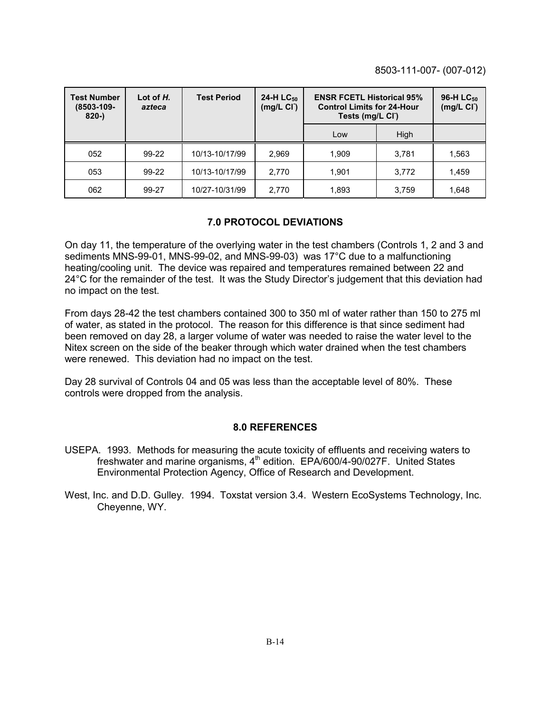| <b>Test Number</b><br>$(8503 - 109 -$<br>$820 -$ | Lot of $H$ .<br>azteca | <b>Test Period</b> | 24-H LC <sub>50</sub><br>(mg/L <sub>C</sub> ) | <b>ENSR FCETL Historical 95%</b><br><b>Control Limits for 24-Hour</b><br>Tests (mg/L CI) |             | 96-H LC <sub>50</sub><br>(mg/L <sub>C</sub> ) |
|--------------------------------------------------|------------------------|--------------------|-----------------------------------------------|------------------------------------------------------------------------------------------|-------------|-----------------------------------------------|
|                                                  |                        |                    |                                               | Low                                                                                      | <b>High</b> |                                               |
| 052                                              | 99-22                  | 10/13-10/17/99     | 2,969                                         | 1.909                                                                                    | 3,781       | 1,563                                         |
| 053                                              | 99-22                  | 10/13-10/17/99     | 2,770                                         | 1.901                                                                                    | 3,772       | 1,459                                         |
| 062                                              | 99-27                  | 10/27-10/31/99     | 2,770                                         | 1,893                                                                                    | 3,759       | 1,648                                         |

#### **7.0 PROTOCOL DEVIATIONS**

On day 11, the temperature of the overlying water in the test chambers (Controls 1, 2 and 3 and sediments MNS-99-01, MNS-99-02, and MNS-99-03) was 17°C due to a malfunctioning heating/cooling unit. The device was repaired and temperatures remained between 22 and 24°C for the remainder of the test. It was the Study Director's judgement that this deviation had no impact on the test.

From days 28-42 the test chambers contained 300 to 350 ml of water rather than 150 to 275 ml of water, as stated in the protocol. The reason for this difference is that since sediment had been removed on day 28, a larger volume of water was needed to raise the water level to the Nitex screen on the side of the beaker through which water drained when the test chambers were renewed. This deviation had no impact on the test.

Day 28 survival of Controls 04 and 05 was less than the acceptable level of 80%. These controls were dropped from the analysis.

#### **8.0 REFERENCES**

- USEPA. 1993. Methods for measuring the acute toxicity of effluents and receiving waters to freshwater and marine organisms,  $4<sup>th</sup>$  edition. EPA/600/4-90/027F. United States Environmental Protection Agency, Office of Research and Development.
- West, Inc. and D.D. Gulley. 1994. Toxstat version 3.4. Western EcoSystems Technology, Inc. Cheyenne, WY.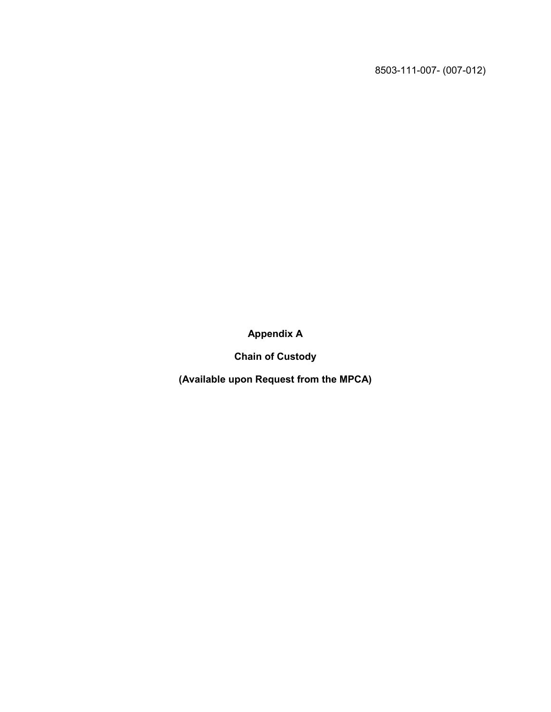**Appendix A**

**Chain of Custody**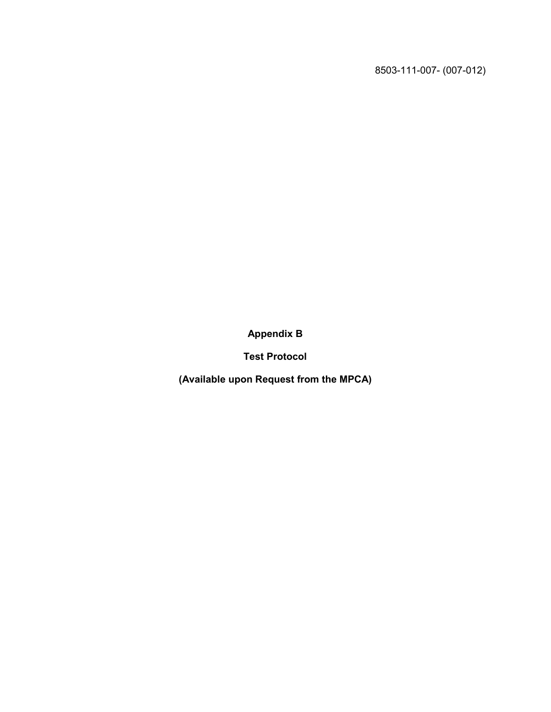**Appendix B**

**Test Protocol**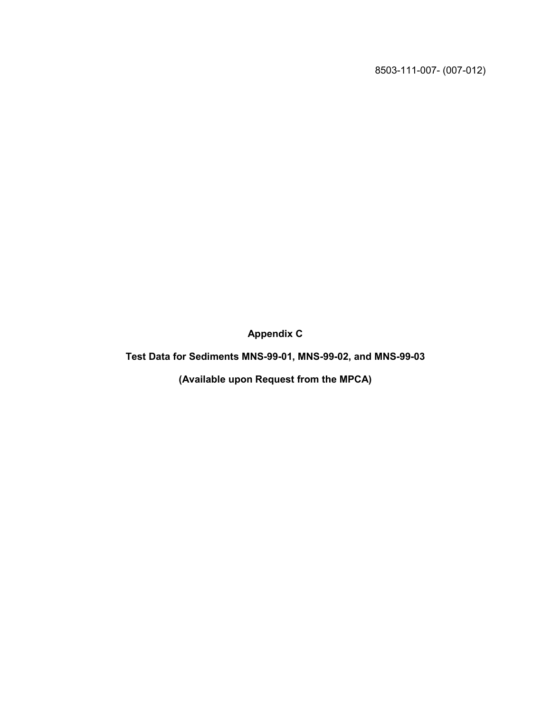**Appendix C**

**Test Data for Sediments MNS-99-01, MNS-99-02, and MNS-99-03**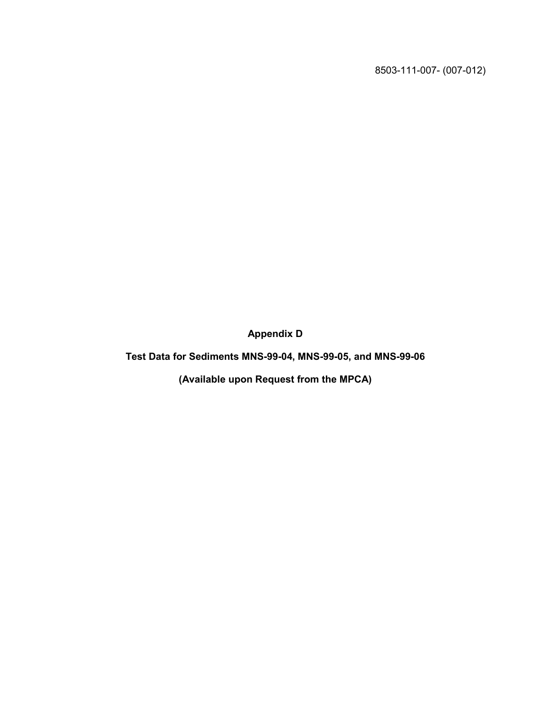**Appendix D**

**Test Data for Sediments MNS-99-04, MNS-99-05, and MNS-99-06**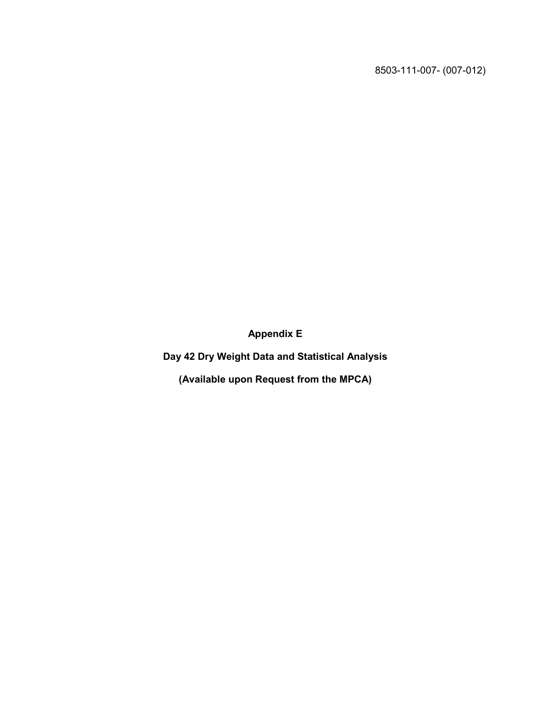**Appendix E**

**Day 42 Dry Weight Data and Statistical Analysis**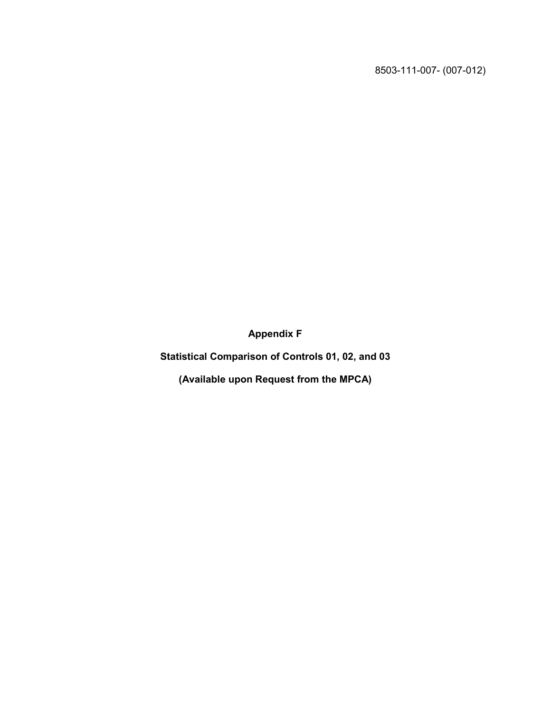**Appendix F**

**Statistical Comparison of Controls 01, 02, and 03**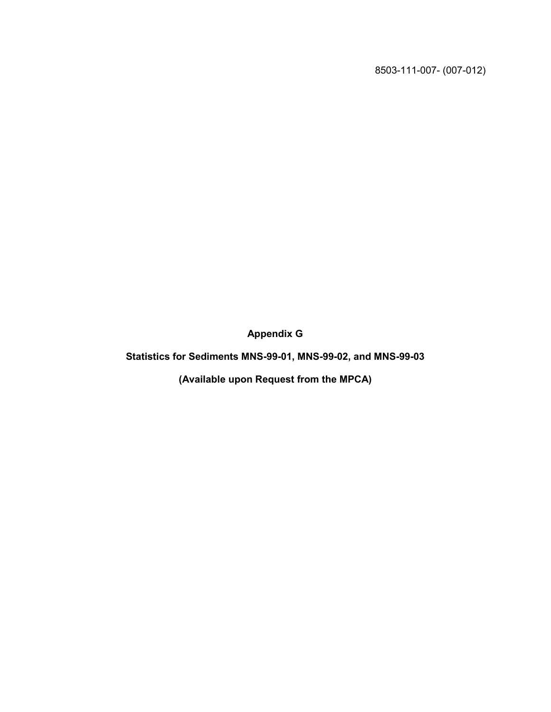**Appendix G**

**Statistics for Sediments MNS-99-01, MNS-99-02, and MNS-99-03**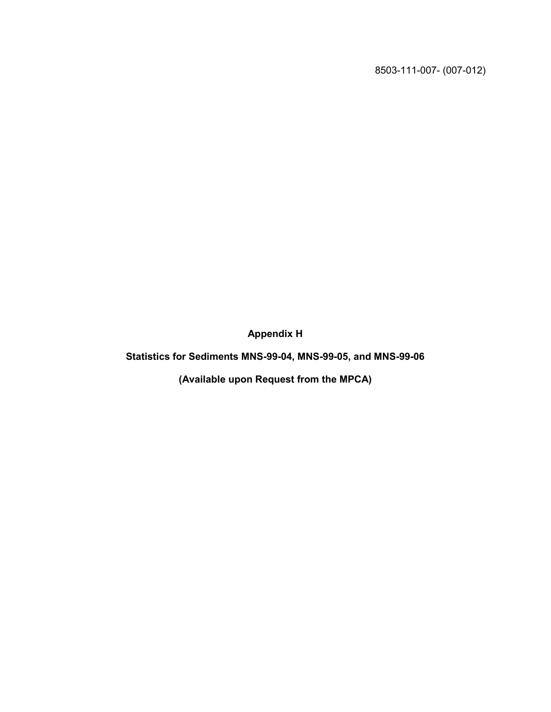**Appendix H**

**Statistics for Sediments MNS-99-04, MNS-99-05, and MNS-99-06**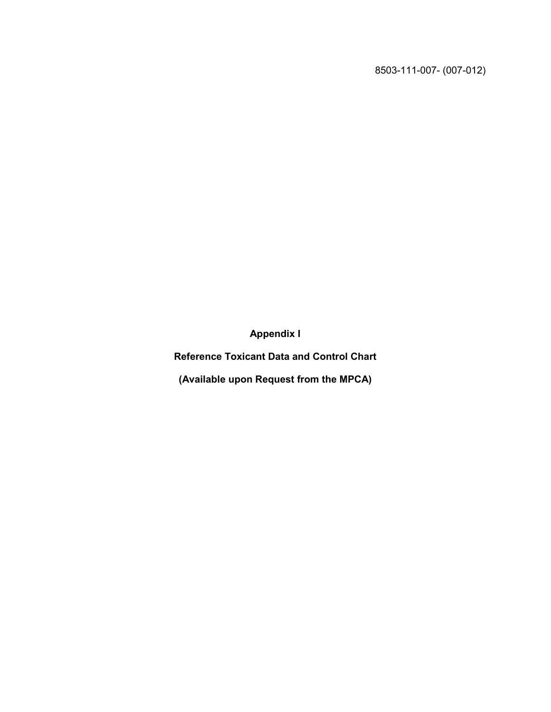**Appendix I**

**Reference Toxicant Data and Control Chart**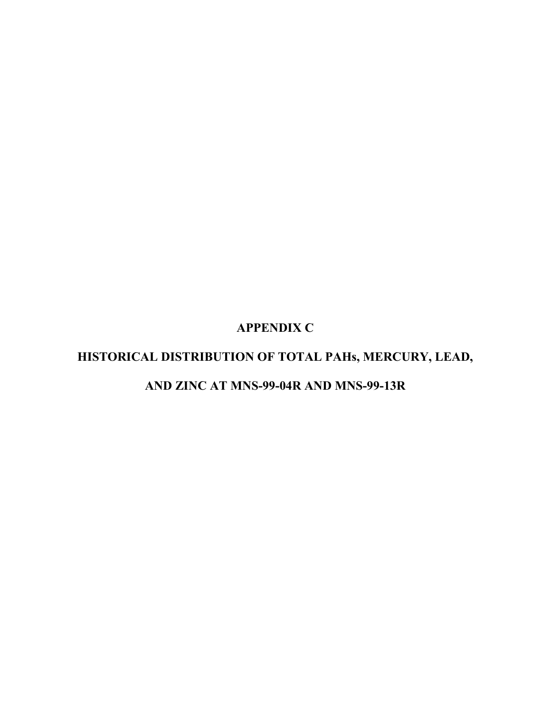## **APPENDIX C**

## **HISTORICAL DISTRIBUTION OF TOTAL PAHs, MERCURY, LEAD,**

## **AND ZINC AT MNS-99-04R AND MNS-99-13R**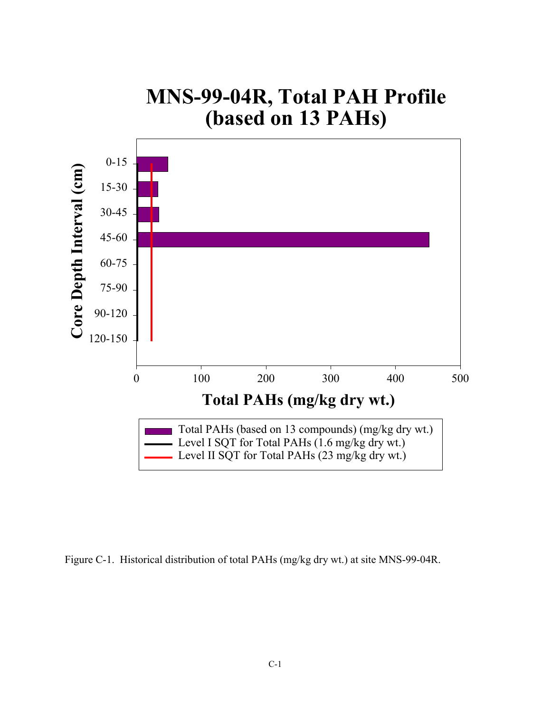

Figure C-1. Historical distribution of total PAHs (mg/kg dry wt.) at site MNS-99-04R.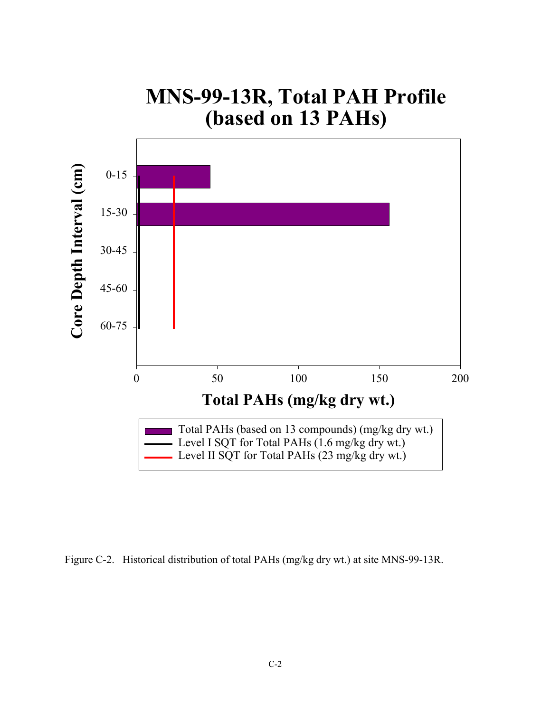# **MNS-99-13R, Total PAH Profile (based on 13 PAHs)**



Figure C-2. Historical distribution of total PAHs (mg/kg dry wt.) at site MNS-99-13R.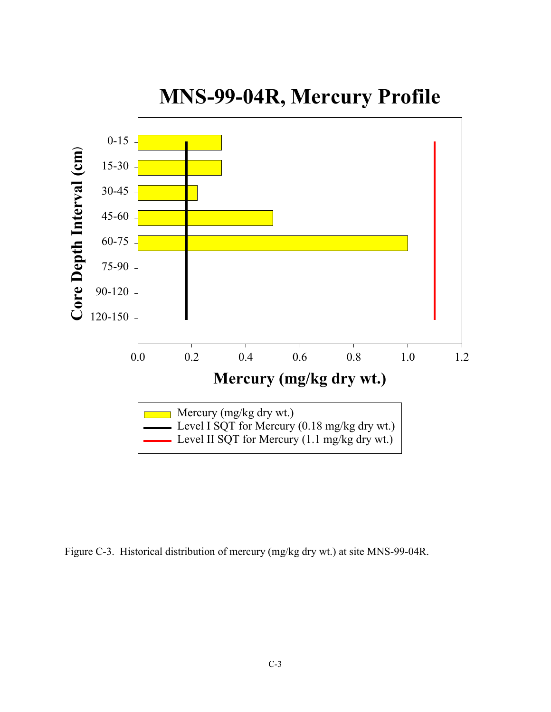

Figure C-3. Historical distribution of mercury (mg/kg dry wt.) at site MNS-99-04R.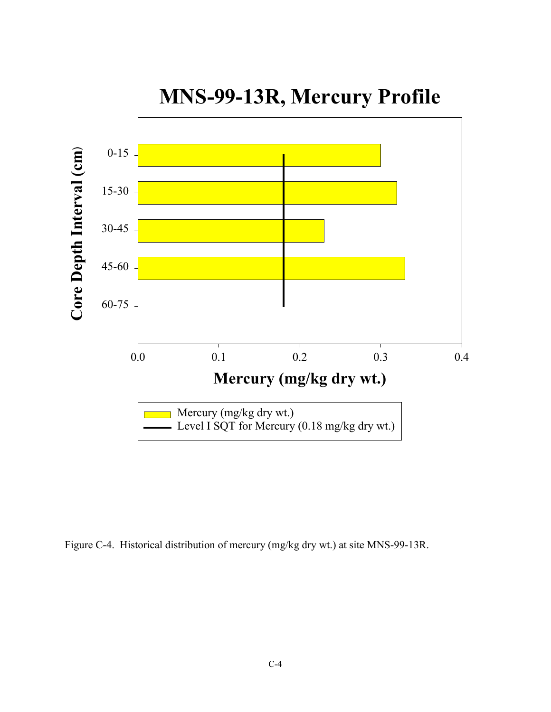

**MNS-99-13R, Mercury Profile**

Figure C-4. Historical distribution of mercury (mg/kg dry wt.) at site MNS-99-13R.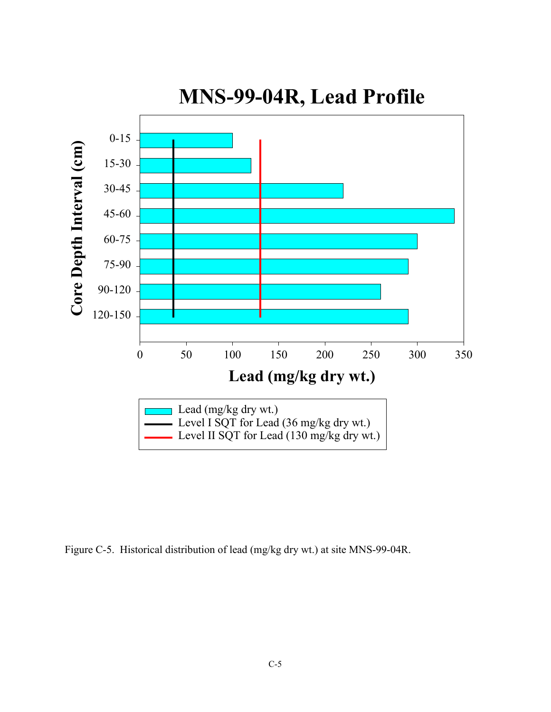

Figure C-5. Historical distribution of lead (mg/kg dry wt.) at site MNS-99-04R.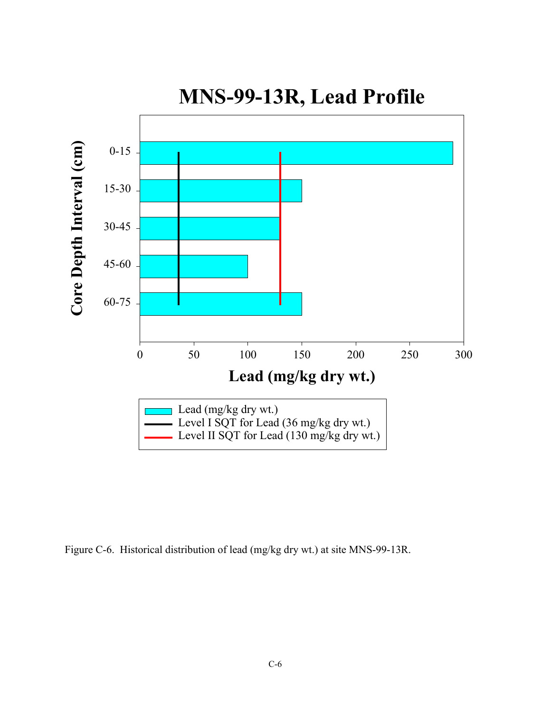

Figure C-6. Historical distribution of lead (mg/kg dry wt.) at site MNS-99-13R.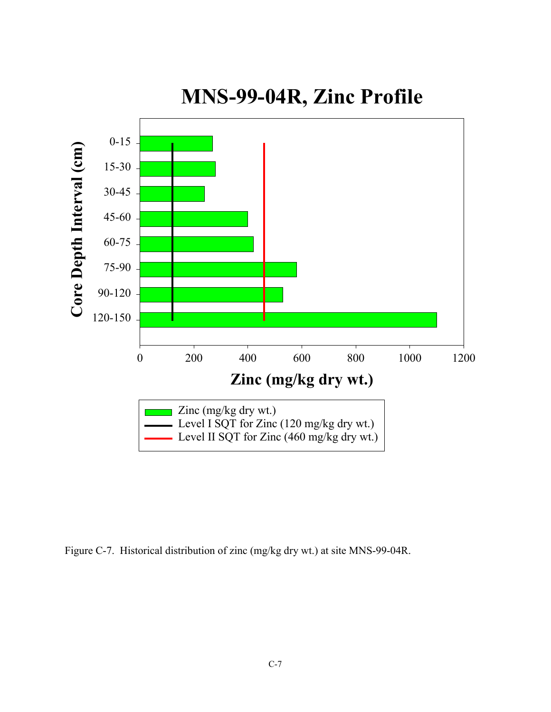

Figure C-7. Historical distribution of zinc (mg/kg dry wt.) at site MNS-99-04R.